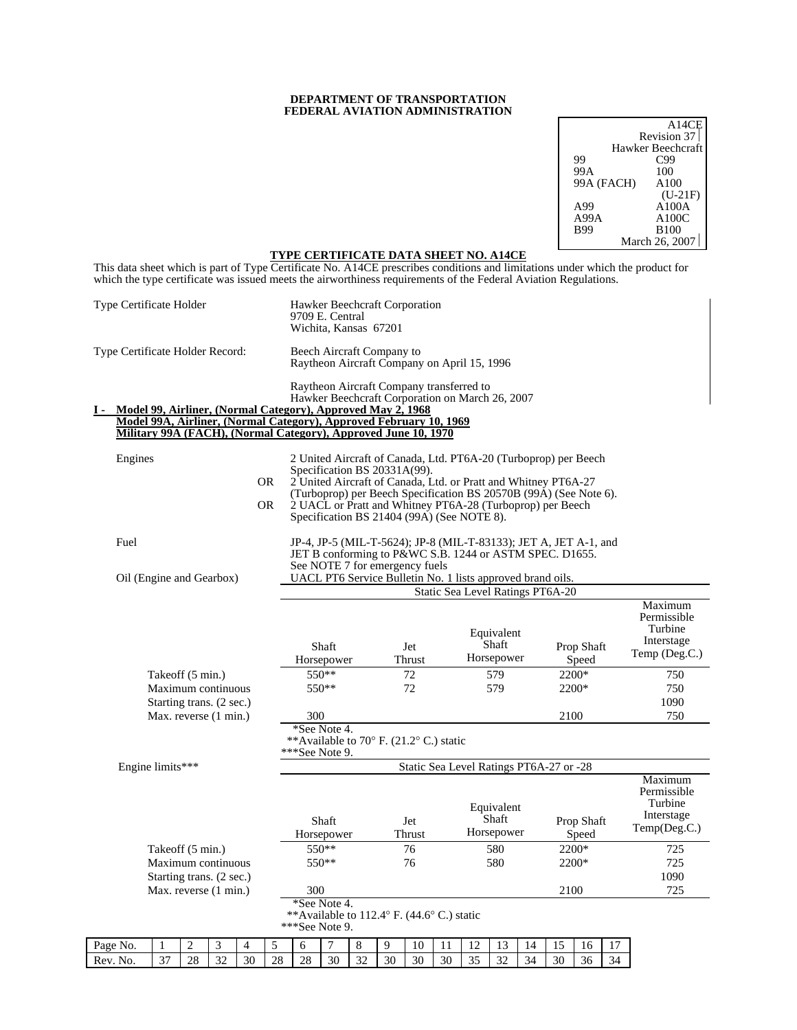### **DEPARTMENT OF TRANSPORTATION FEDERAL AVIATION ADMINISTRATION**

|            | A14CE             |
|------------|-------------------|
|            | Revision 37       |
|            | Hawker Beechcraft |
| 99         | C99               |
| 99A        | 100               |
| 99A (FACH) | A100              |
|            | $(U-21F)$         |
| A99        | A100A             |
| A99A       | A100C             |
| <b>B99</b> | <b>B100</b>       |
|            | March 26, 2007    |

#### **TYPE CERTIFICATE DATA SHEET NO. A14CE**

This data sheet which is part of Type Certificate No. A14CE prescribes conditions and limitations under which the product for which the type certificate was issued meets the airworthiness requirements of the Federal Aviation Regulations.

|          | Type Certificate Holder                                                                                                                                                                             |    |                          |    |    |                  | Hawker Beechcraft Corporation<br>9709 E. Central<br>Wichita, Kansas 67201                   |                     |    |    |               |    |    |                                   |    |                                                                                                                                                                                                                                                                     |                     |    |                                                                  |
|----------|-----------------------------------------------------------------------------------------------------------------------------------------------------------------------------------------------------|----|--------------------------|----|----|------------------|---------------------------------------------------------------------------------------------|---------------------|----|----|---------------|----|----|-----------------------------------|----|---------------------------------------------------------------------------------------------------------------------------------------------------------------------------------------------------------------------------------------------------------------------|---------------------|----|------------------------------------------------------------------|
|          | Type Certificate Holder Record:                                                                                                                                                                     |    |                          |    |    |                  | Beech Aircraft Company to<br>Raytheon Aircraft Company on April 15, 1996                    |                     |    |    |               |    |    |                                   |    |                                                                                                                                                                                                                                                                     |                     |    |                                                                  |
| Ι.       | Model 99, Airliner, (Normal Category), Approved May 2, 1968<br>Model 99A, Airliner, (Normal Category), Approved February 10, 1969<br>Military 99A (FACH), (Normal Category), Approved June 10, 1970 |    |                          |    |    |                  | Raytheon Aircraft Company transferred to<br>Hawker Beechcraft Corporation on March 26, 2007 |                     |    |    |               |    |    |                                   |    |                                                                                                                                                                                                                                                                     |                     |    |                                                                  |
|          | Engines                                                                                                                                                                                             |    |                          |    |    | OR.<br><b>OR</b> | Specification BS 20331A(99).<br>Specification BS 21404 (99A) (See NOTE 8).                  |                     |    |    |               |    |    |                                   |    | 2 United Aircraft of Canada, Ltd. PT6A-20 (Turboprop) per Beech<br>2 United Aircraft of Canada, Ltd. or Pratt and Whitney PT6A-27<br>(Turboprop) per Beech Specification BS 20570B (99A) (See Note 6).<br>2 UACL or Pratt and Whitney PT6A-28 (Turboprop) per Beech |                     |    |                                                                  |
|          | Fuel<br>Oil (Engine and Gearbox)                                                                                                                                                                    |    |                          |    |    |                  | See NOTE 7 for emergency fuels                                                              |                     |    |    |               |    |    |                                   |    | JP-4, JP-5 (MIL-T-5624); JP-8 (MIL-T-83133); JET A, JET A-1, and<br>JET B conforming to P&WC S.B. 1244 or ASTM SPEC. D1655.<br>UACL PT6 Service Bulletin No. 1 lists approved brand oils.                                                                           |                     |    |                                                                  |
|          |                                                                                                                                                                                                     |    |                          |    |    |                  |                                                                                             |                     |    |    |               |    |    |                                   |    | Static Sea Level Ratings PT6A-20                                                                                                                                                                                                                                    |                     |    |                                                                  |
|          |                                                                                                                                                                                                     |    |                          |    |    |                  |                                                                                             | Shaft<br>Horsepower |    |    | Jet<br>Thrust |    |    | Equivalent<br>Shaft<br>Horsepower |    |                                                                                                                                                                                                                                                                     | Prop Shaft<br>Speed |    | Maximum<br>Permissible<br>Turbine<br>Interstage<br>Temp (Deg.C.) |
|          |                                                                                                                                                                                                     |    | Takeoff (5 min.)         |    |    |                  |                                                                                             | $550**$             |    |    | 72            |    |    | 579                               |    |                                                                                                                                                                                                                                                                     | 2200*               |    | 750                                                              |
|          |                                                                                                                                                                                                     |    | Maximum continuous       |    |    |                  |                                                                                             | $550**$             |    |    | 72            |    |    | 579                               |    |                                                                                                                                                                                                                                                                     | 2200*               |    | 750                                                              |
|          |                                                                                                                                                                                                     |    | Starting trans. (2 sec.) |    |    |                  |                                                                                             |                     |    |    |               |    |    |                                   |    |                                                                                                                                                                                                                                                                     |                     |    | 1090                                                             |
|          |                                                                                                                                                                                                     |    | Max. reverse (1 min.)    |    |    |                  | 300                                                                                         |                     |    |    |               |    |    |                                   |    | 2100                                                                                                                                                                                                                                                                |                     |    | 750                                                              |
|          |                                                                                                                                                                                                     |    |                          |    |    |                  | *See Note 4.                                                                                |                     |    |    |               |    |    |                                   |    |                                                                                                                                                                                                                                                                     |                     |    |                                                                  |
|          |                                                                                                                                                                                                     |    |                          |    |    |                  | **Available to $70^{\circ}$ F. (21.2° C.) static<br>***See Note 9.                          |                     |    |    |               |    |    |                                   |    |                                                                                                                                                                                                                                                                     |                     |    |                                                                  |
|          | Engine limits***                                                                                                                                                                                    |    |                          |    |    |                  |                                                                                             |                     |    |    |               |    |    |                                   |    | Static Sea Level Ratings PT6A-27 or -28                                                                                                                                                                                                                             |                     |    |                                                                  |
|          |                                                                                                                                                                                                     |    |                          |    |    |                  |                                                                                             | Shaft<br>Horsepower |    |    | Jet<br>Thrust |    |    | Equivalent<br>Shaft<br>Horsepower |    |                                                                                                                                                                                                                                                                     | Prop Shaft<br>Speed |    | Maximum<br>Permissible<br>Turbine<br>Interstage<br>Temp(Deg.C.)  |
|          |                                                                                                                                                                                                     |    | Takeoff (5 min.)         |    |    |                  |                                                                                             | 550**               |    |    | 76            |    |    | 580                               |    |                                                                                                                                                                                                                                                                     | 2200*               |    | 725                                                              |
|          |                                                                                                                                                                                                     |    | Maximum continuous       |    |    |                  |                                                                                             | $550**$             |    |    | 76            |    |    | 580                               |    |                                                                                                                                                                                                                                                                     | 2200*               |    | 725                                                              |
|          |                                                                                                                                                                                                     |    | Starting trans. (2 sec.) |    |    |                  |                                                                                             |                     |    |    |               |    |    |                                   |    |                                                                                                                                                                                                                                                                     |                     |    | 1090                                                             |
|          |                                                                                                                                                                                                     |    | Max. reverse (1 min.)    |    |    |                  | 300                                                                                         |                     |    |    |               |    |    |                                   |    | 2100                                                                                                                                                                                                                                                                |                     |    | 725                                                              |
|          |                                                                                                                                                                                                     |    |                          |    |    |                  | **Available to $112.4^{\circ}$ F. (44.6° C.) static<br>***See Note 9.                       | *See Note 4.        |    |    |               |    |    |                                   |    |                                                                                                                                                                                                                                                                     |                     |    |                                                                  |
| Page No. |                                                                                                                                                                                                     | 1  | 2                        | 3  | 4  | 5                | 6                                                                                           | 7                   | 8  | 9  | 10            | 11 | 12 | 13                                | 14 | 15                                                                                                                                                                                                                                                                  | 16                  | 17 |                                                                  |
| Rev. No. |                                                                                                                                                                                                     | 37 | 28                       | 32 | 30 | 28               | 28                                                                                          | 30                  | 32 | 30 | 30            | 30 | 35 | 32                                | 34 | 30                                                                                                                                                                                                                                                                  | 36                  | 34 |                                                                  |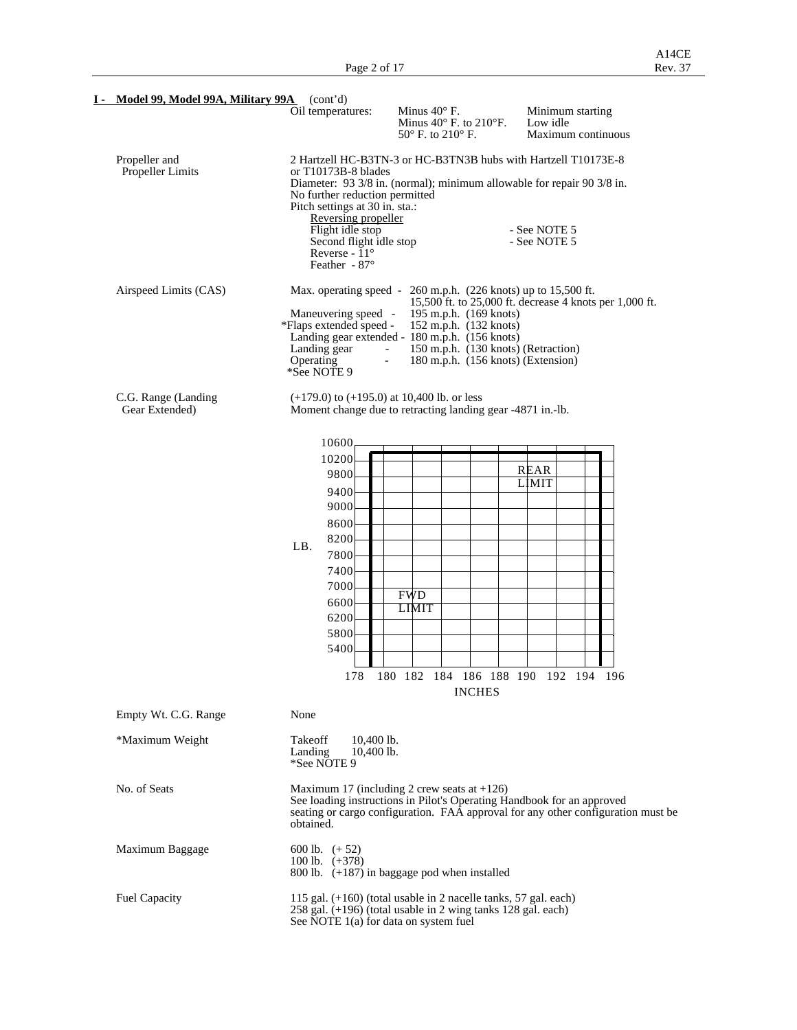| I - Model 99, Model 99A, Military 99A (cont'd) |                                                                                                                                                                                                          |                                                                                                                                                                                                                            |                                                                                  |
|------------------------------------------------|----------------------------------------------------------------------------------------------------------------------------------------------------------------------------------------------------------|----------------------------------------------------------------------------------------------------------------------------------------------------------------------------------------------------------------------------|----------------------------------------------------------------------------------|
|                                                | Oil temperatures:                                                                                                                                                                                        | Minus $40^{\circ}$ F.<br>Minus $40^\circ$ F. to $210^\circ$ F.<br>$50^{\circ}$ F. to $210^{\circ}$ F.                                                                                                                      | Minimum starting<br>Low idle<br>Maximum continuous                               |
| Propeller and<br>Propeller Limits              | or T10173B-8 blades<br>No further reduction permitted<br>Pitch settings at 30 in. sta.:<br>Reversing propeller<br>Flight idle stop<br>Second flight idle stop<br>Reverse - $11^{\circ}$<br>Feather - 87° | 2 Hartzell HC-B3TN-3 or HC-B3TN3B hubs with Hartzell T10173E-8<br>Diameter: 93 3/8 in. (normal); minimum allowable for repair 90 3/8 in.                                                                                   | - See NOTE 5<br>- See NOTE 5                                                     |
| Airspeed Limits (CAS)                          | Max. operating speed -<br>Maneuvering speed -<br>*Flaps extended speed -<br>Landing gear<br>Operating<br>$\overline{\phantom{a}}$<br>*See NOTE 9                                                         | 260 m.p.h. (226 knots) up to 15,500 ft.<br>195 m.p.h. (169 knots)<br>152 m.p.h. (132 knots)<br>Landing gear extended - 180 m.p.h. (156 knots)<br>150 m.p.h. (130 knots) (Retraction)<br>180 m.p.h. (156 knots) (Extension) | 15,500 ft. to 25,000 ft. decrease 4 knots per 1,000 ft.                          |
| C.G. Range (Landing<br>Gear Extended)          | $(+179.0)$ to $(+195.0)$ at 10,400 lb. or less                                                                                                                                                           | Moment change due to retracting landing gear -4871 in.-lb.                                                                                                                                                                 |                                                                                  |
|                                                | 10600<br>10200<br>9800<br>9400<br>9000<br>8600<br>8200<br>LB.<br>7800<br>7400<br>7000<br>6600<br>6200<br>5800<br>5400                                                                                    | <b>FWD</b><br><b>LIMIT</b><br>178 180 182 184 186 188 190 192 194 196<br><b>INCHES</b>                                                                                                                                     | REAR<br><b>LIMIT</b>                                                             |
| Empty Wt. C.G. Range                           | None                                                                                                                                                                                                     |                                                                                                                                                                                                                            |                                                                                  |
| *Maximum Weight                                | Takeoff<br>$10,400$ lb.<br>10,400 lb.<br>Landing<br>*See NOTE 9                                                                                                                                          |                                                                                                                                                                                                                            |                                                                                  |
| No. of Seats                                   | obtained.                                                                                                                                                                                                | Maximum 17 (including 2 crew seats at $+126$ )<br>See loading instructions in Pilot's Operating Handbook for an approved                                                                                                   | seating or cargo configuration. FAA approval for any other configuration must be |
| Maximum Baggage                                | 600 lb. $(+52)$<br>100 lb. $(+378)$                                                                                                                                                                      | 800 lb. (+187) in baggage pod when installed                                                                                                                                                                               |                                                                                  |
| Fuel Capacity                                  | See NOTE 1(a) for data on system fuel                                                                                                                                                                    | 115 gal. $(+160)$ (total usable in 2 nacelle tanks, 57 gal. each)<br>258 gal. (+196) (total usable in 2 wing tanks 128 gal. each)                                                                                          |                                                                                  |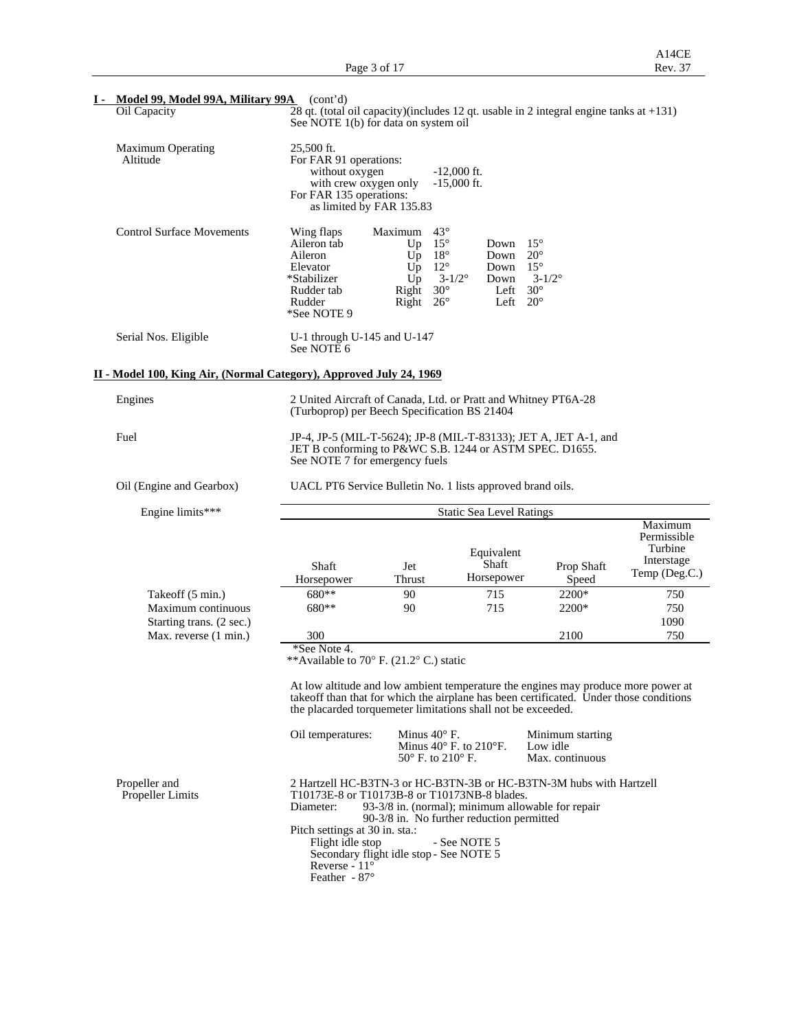| Model 99, Model 99A, Military 99A (cont'd)                          |                                                                                                                                                                                                                                             |                                                                                                                                               |                                                                                                                                                   |                                                 |                                                                  |  |  |  |
|---------------------------------------------------------------------|---------------------------------------------------------------------------------------------------------------------------------------------------------------------------------------------------------------------------------------------|-----------------------------------------------------------------------------------------------------------------------------------------------|---------------------------------------------------------------------------------------------------------------------------------------------------|-------------------------------------------------|------------------------------------------------------------------|--|--|--|
| Oil Capacity                                                        | $\overline{28}$ qt. (total oil capacity)(includes 12 qt. usable in 2 integral engine tanks at +131)<br>See NOTE 1(b) for data on system oil                                                                                                 |                                                                                                                                               |                                                                                                                                                   |                                                 |                                                                  |  |  |  |
| <b>Maximum Operating</b><br>Altitude                                | 25,500 ft.<br>For FAR 91 operations:<br>without oxygen<br>with crew oxygen only<br>For FAR 135 operations:<br>as limited by FAR 135.83                                                                                                      |                                                                                                                                               | $-12,000$ ft.<br>$-15,000$ ft.                                                                                                                    |                                                 |                                                                  |  |  |  |
| <b>Control Surface Movements</b>                                    | Wing flaps<br>Aileron tab<br>Aileron<br>Elevator<br>*Stabilizer<br>Rudder tab<br>Rudder<br>*See NOTE 9                                                                                                                                      | Maximum<br>$43^\circ$<br>$15^{\circ}$<br>Up<br>$18^{\circ}$<br>Up<br>$12^{\circ}$<br>Up<br>Up<br>$30^\circ$<br>Right<br>Right<br>$26^{\circ}$ | $15^{\circ}$<br>Down<br>$20^{\circ}$<br>Down<br>$15^{\circ}$<br>Down<br>$3 - 1/2^{\circ}$<br>Down<br>$30^{\circ}$<br>Left<br>$20^{\circ}$<br>Left | $3 - 1/2^{\circ}$                               |                                                                  |  |  |  |
| Serial Nos. Eligible                                                | U-1 through U-145 and U-147<br>See NOTE 6                                                                                                                                                                                                   |                                                                                                                                               |                                                                                                                                                   |                                                 |                                                                  |  |  |  |
| II - Model 100, King Air, (Normal Category), Approved July 24, 1969 |                                                                                                                                                                                                                                             |                                                                                                                                               |                                                                                                                                                   |                                                 |                                                                  |  |  |  |
| Engines                                                             | 2 United Aircraft of Canada, Ltd. or Pratt and Whitney PT6A-28<br>(Turboprop) per Beech Specification BS 21404                                                                                                                              |                                                                                                                                               |                                                                                                                                                   |                                                 |                                                                  |  |  |  |
| Fuel                                                                | JP-4, JP-5 (MIL-T-5624); JP-8 (MIL-T-83133); JET A, JET A-1, and<br>JET B conforming to P&WC S.B. 1244 or ASTM SPEC. D1655.<br>See NOTE 7 for emergency fuels                                                                               |                                                                                                                                               |                                                                                                                                                   |                                                 |                                                                  |  |  |  |
| Oil (Engine and Gearbox)                                            | UACL PT6 Service Bulletin No. 1 lists approved brand oils.                                                                                                                                                                                  |                                                                                                                                               |                                                                                                                                                   |                                                 |                                                                  |  |  |  |
| Engine limits***                                                    | <b>Static Sea Level Ratings</b>                                                                                                                                                                                                             |                                                                                                                                               |                                                                                                                                                   |                                                 |                                                                  |  |  |  |
|                                                                     | Shaft<br>Horsepower                                                                                                                                                                                                                         | Jet<br>Thrust                                                                                                                                 | Equivalent<br>Shaft<br>Horsepower                                                                                                                 | Prop Shaft<br>Speed                             | Maximum<br>Permissible<br>Turbine<br>Interstage<br>Temp (Deg.C.) |  |  |  |
| Takeoff (5 min.)<br>Maximum continuous                              | $680**$<br>680**                                                                                                                                                                                                                            | 90<br>90                                                                                                                                      | 715<br>715                                                                                                                                        | 2200*<br>2200*                                  | 750<br>750                                                       |  |  |  |
| Starting trans. (2 sec.)                                            |                                                                                                                                                                                                                                             |                                                                                                                                               |                                                                                                                                                   |                                                 | 1090                                                             |  |  |  |
| Max. reverse (1 min.)                                               | 300<br>*See Note 4.<br>**Available to 70 $\degree$ F. (21.2 $\degree$ C.) static                                                                                                                                                            |                                                                                                                                               |                                                                                                                                                   | 2100                                            | 750                                                              |  |  |  |
|                                                                     | At low altitude and low ambient temperature the engines may produce more power at<br>takeoff than that for which the airplane has been certificated. Under those conditions<br>the placarded torquemeter limitations shall not be exceeded. |                                                                                                                                               |                                                                                                                                                   |                                                 |                                                                  |  |  |  |
|                                                                     | Oil temperatures:                                                                                                                                                                                                                           | Minus $40^\circ$ F.<br>$50^{\circ}$ F. to $210^{\circ}$ F.                                                                                    | Minus $40^\circ$ F. to $210^\circ$ F.                                                                                                             | Minimum starting<br>Low idle<br>Max. continuous |                                                                  |  |  |  |
| Propeller and<br><b>Propeller Limits</b>                            | 2 Hartzell HC-B3TN-3 or HC-B3TN-3B or HC-B3TN-3M hubs with Hartzell<br>T10173E-8 or T10173B-8 or T10173NB-8 blades.<br>Diameter:<br>Pitch settings at 30 in. sta.:<br>Flight idle stop<br>Secondary flight idle stop - See NOTE 5           |                                                                                                                                               | 93-3/8 in. (normal); minimum allowable for repair<br>90-3/8 in. No further reduction permitted<br>- See NOTE 5                                    |                                                 |                                                                  |  |  |  |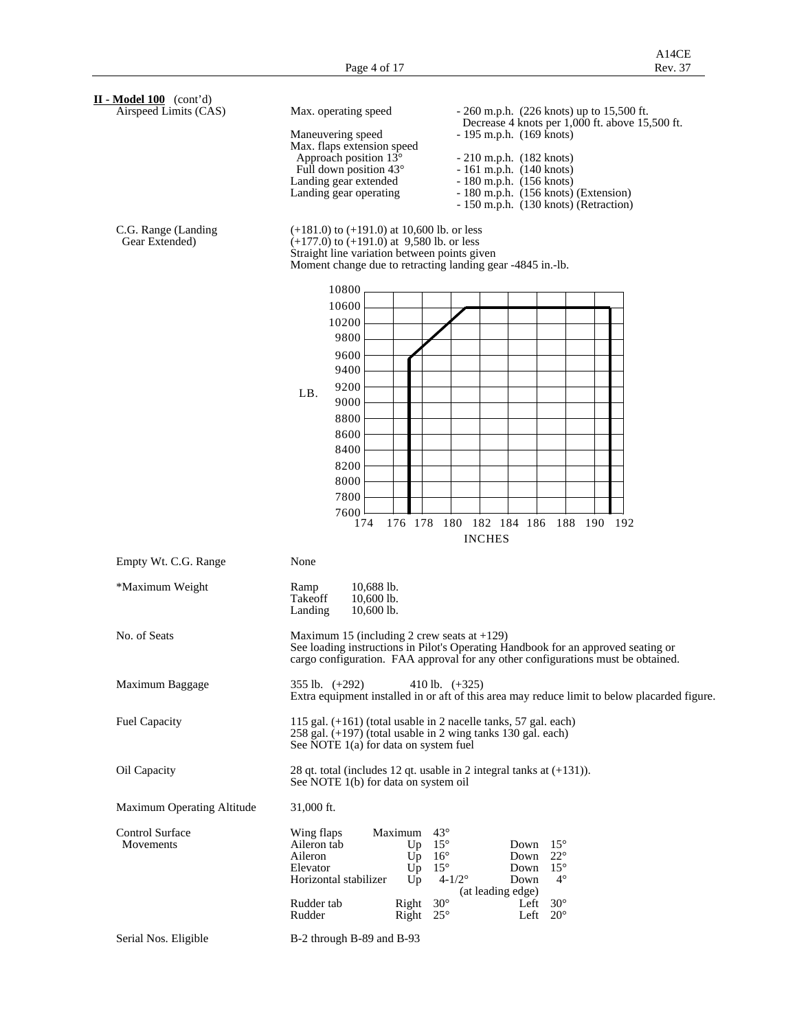| $II$ - Model 100 (cont'd)<br>Airspeed Limits (CAS) | Max. operating speed<br>$-260$ m.p.h. (226 knots) up to 15,500 ft.                                                                                                                                                                                                                                                                                                                                                           |
|----------------------------------------------------|------------------------------------------------------------------------------------------------------------------------------------------------------------------------------------------------------------------------------------------------------------------------------------------------------------------------------------------------------------------------------------------------------------------------------|
|                                                    | Decrease 4 knots per 1,000 ft. above 15,500 ft.<br>$-195$ m.p.h. $(169$ knots)<br>Maneuvering speed<br>Max. flaps extension speed<br>Approach position 13°<br>$-210$ m.p.h. $(182$ knots)<br>Full down position $43^\circ$<br>$-161$ m.p.h. $(140$ knots)<br>Landing gear extended<br>$-180$ m.p.h. $(156$ knots)<br>Landing gear operating<br>- 180 m.p.h. (156 knots) (Extension)<br>- 150 m.p.h. (130 knots) (Retraction) |
| C.G. Range (Landing<br>Gear Extended)              | $(+181.0)$ to $(+191.0)$ at 10,600 lb. or less<br>$(+177.0)$ to $(+191.0)$ at 9,580 lb. or less<br>Straight line variation between points given<br>Moment change due to retracting landing gear -4845 in.-lb.                                                                                                                                                                                                                |
|                                                    | 10800<br>10600<br>10200<br>9800<br>9600<br>9400<br>9200<br>LB.<br>9000<br>8800<br>8600<br>8400<br>8200<br>8000<br>7800<br>7600<br>176 178 180 182 184 186 188 190 192<br>174<br><b>INCHES</b>                                                                                                                                                                                                                                |
| Empty Wt. C.G. Range                               | None                                                                                                                                                                                                                                                                                                                                                                                                                         |
| *Maximum Weight                                    | 10,688 lb.<br>Ramp<br>Takeoff<br>10,600 lb.<br>10,600 lb.<br>Landing                                                                                                                                                                                                                                                                                                                                                         |
| No. of Seats                                       | Maximum 15 (including 2 crew seats at $+129$ )<br>See loading instructions in Pilot's Operating Handbook for an approved seating or<br>cargo configuration. FAA approval for any other configurations must be obtained.                                                                                                                                                                                                      |
| Maximum Baggage                                    | $355$ lb. $(+292)$<br>410 lb. $(+325)$<br>Extra equipment installed in or aft of this area may reduce limit to below placarded figure.                                                                                                                                                                                                                                                                                       |
| <b>Fuel Capacity</b>                               | 115 gal. $(+161)$ (total usable in 2 nacelle tanks, 57 gal. each)<br>$258$ gal. $(+197)$ (total usable in 2 wing tanks 130 gal. each)<br>See NOTE 1(a) for data on system fuel                                                                                                                                                                                                                                               |
| Oil Capacity                                       | 28 qt. total (includes 12 qt. usable in 2 integral tanks at $(+131)$ ).<br>See NOTE 1(b) for data on system oil                                                                                                                                                                                                                                                                                                              |
| Maximum Operating Altitude                         | 31,000 ft.                                                                                                                                                                                                                                                                                                                                                                                                                   |
| <b>Control Surface</b><br>Movements                | $43^{\circ}$<br>Wing flaps<br>Maximum<br>Aileron tab<br>$15^{\circ}$<br>$15^{\circ}$<br>Up<br>Down<br>Aileron<br>$U_{\mathcal{D}}$<br>$16^{\circ}$<br>Down<br>$22^{\circ}$<br>$15^{\circ}$<br>$15^{\circ}$<br>Elevator<br>Up<br>Down<br>$4 - 1/2^{\circ}$<br>Horizontal stabilizer<br>Down<br>$4^\circ$<br>Up<br>(at leading edge)                                                                                           |
|                                                    | $30^\circ$<br>Rudder tab<br>$30^{\circ}$<br>Right<br>Left<br>Rudder<br>$25^{\circ}$<br>$20^{\circ}$<br>Right<br>Left                                                                                                                                                                                                                                                                                                         |
| Serial Nos. Eligible                               | B-2 through B-89 and B-93                                                                                                                                                                                                                                                                                                                                                                                                    |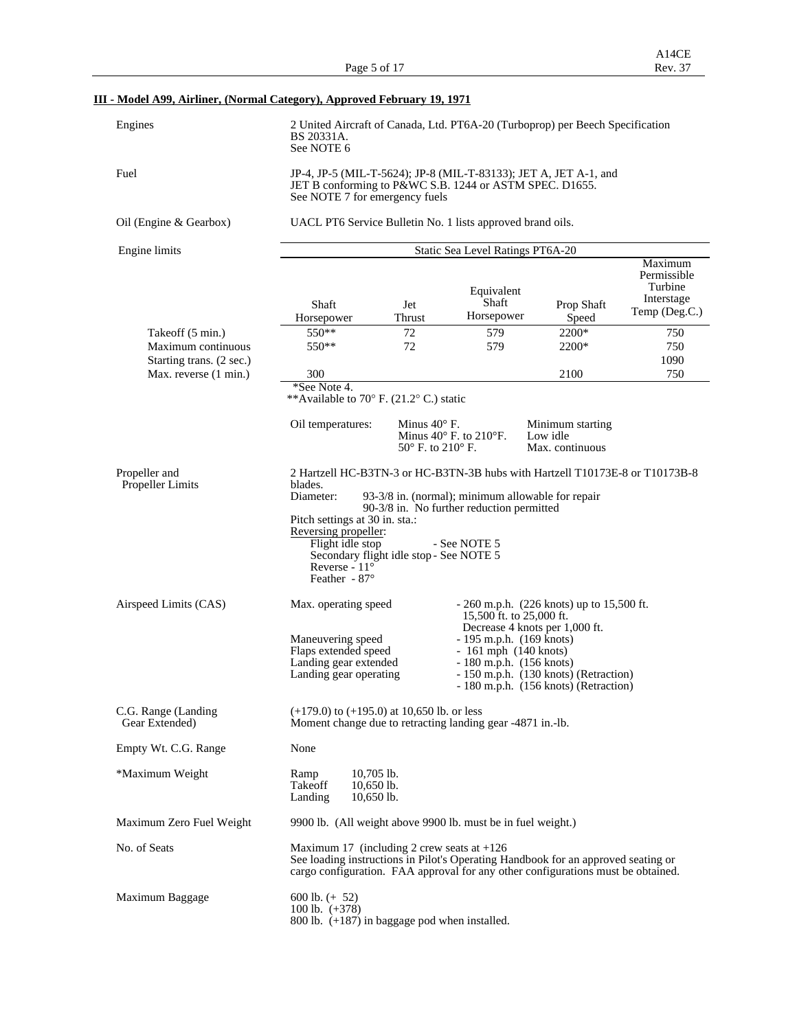|         | A14CE   |
|---------|---------|
| i of 17 | Rev. 37 |

## **III - Model A99, Airliner, (Normal Category), Approved February 19, 1971**

| Engines                | 2 United Aircraft of Canada, Ltd. PT6A-20 (Turboprop) per Beech Specification<br>BS 20331A.<br>See NOTE 6                                                     |
|------------------------|---------------------------------------------------------------------------------------------------------------------------------------------------------------|
| Fuel                   | JP-4, JP-5 (MIL-T-5624); JP-8 (MIL-T-83133); JET A, JET A-1, and<br>JET B conforming to P&WC S.B. 1244 or ASTM SPEC. D1655.<br>See NOTE 7 for emergency fuels |
| Oil (Engine & Gearbox) | UACL PT6 Service Bulletin No. 1 lists approved brand oils.                                                                                                    |

| Engine limits                         | Static Sea Level Ratings PT6A-20                                                                                                                                                                                        |                                                            |                                                                                                |                                                 |                                                                  |  |  |  |
|---------------------------------------|-------------------------------------------------------------------------------------------------------------------------------------------------------------------------------------------------------------------------|------------------------------------------------------------|------------------------------------------------------------------------------------------------|-------------------------------------------------|------------------------------------------------------------------|--|--|--|
|                                       | Shaft<br>Horsepower                                                                                                                                                                                                     | Jet<br>Thrust                                              | Equivalent<br>Shaft<br>Horsepower                                                              | Prop Shaft<br>Speed                             | Maximum<br>Permissible<br>Turbine<br>Interstage<br>Temp (Deg.C.) |  |  |  |
| Takeoff (5 min.)                      | $550**$                                                                                                                                                                                                                 | 72                                                         | 579                                                                                            | 2200*                                           | 750                                                              |  |  |  |
| Maximum continuous                    | $550**$                                                                                                                                                                                                                 | 72                                                         | 579                                                                                            | 2200*                                           | 750                                                              |  |  |  |
| Starting trans. (2 sec.)              |                                                                                                                                                                                                                         |                                                            |                                                                                                |                                                 | 1090                                                             |  |  |  |
| Max. reverse (1 min.)                 | 300                                                                                                                                                                                                                     |                                                            |                                                                                                | 2100                                            | 750                                                              |  |  |  |
|                                       | *See Note 4.                                                                                                                                                                                                            |                                                            |                                                                                                |                                                 |                                                                  |  |  |  |
|                                       | **Available to 70° F. (21.2° C.) static                                                                                                                                                                                 |                                                            |                                                                                                |                                                 |                                                                  |  |  |  |
|                                       | Oil temperatures:                                                                                                                                                                                                       | Minus $40^\circ$ F.<br>$50^{\circ}$ F. to $210^{\circ}$ F. | Minus $40^\circ$ F. to $210^\circ$ F.                                                          | Minimum starting<br>Low idle<br>Max. continuous |                                                                  |  |  |  |
| Propeller and                         | 2 Hartzell HC-B3TN-3 or HC-B3TN-3B hubs with Hartzell T10173E-8 or T10173B-8                                                                                                                                            |                                                            |                                                                                                |                                                 |                                                                  |  |  |  |
| <b>Propeller Limits</b>               | blades.<br>Diameter:<br>Pitch settings at 30 in. sta.:                                                                                                                                                                  |                                                            | 93-3/8 in. (normal); minimum allowable for repair<br>90-3/8 in. No further reduction permitted |                                                 |                                                                  |  |  |  |
|                                       | Reversing propeller:<br>Flight idle stop<br>Secondary flight idle stop - See NOTE 5<br>Reverse - $11^{\circ}$<br>Feather - $87^\circ$                                                                                   |                                                            | - See NOTE 5                                                                                   |                                                 |                                                                  |  |  |  |
| Airspeed Limits (CAS)                 | Max. operating speed                                                                                                                                                                                                    |                                                            | 15,500 ft. to 25,000 ft.                                                                       | $-260$ m.p.h. (226 knots) up to 15,500 ft.      |                                                                  |  |  |  |
|                                       | Maneuvering speed                                                                                                                                                                                                       |                                                            | $-195$ m.p.h. $(169$ knots)                                                                    | Decrease 4 knots per 1,000 ft.                  |                                                                  |  |  |  |
|                                       | Flaps extended speed                                                                                                                                                                                                    |                                                            | $-161$ mph $(140$ knots)                                                                       |                                                 |                                                                  |  |  |  |
|                                       | Landing gear extended                                                                                                                                                                                                   |                                                            | $-180$ m.p.h. $(156$ knots)                                                                    |                                                 |                                                                  |  |  |  |
|                                       | Landing gear operating                                                                                                                                                                                                  |                                                            |                                                                                                | - 150 m.p.h. (130 knots) (Retraction)           |                                                                  |  |  |  |
|                                       |                                                                                                                                                                                                                         |                                                            |                                                                                                | - 180 m.p.h. (156 knots) (Retraction)           |                                                                  |  |  |  |
| C.G. Range (Landing<br>Gear Extended) | $(+179.0)$ to $(+195.0)$ at 10,650 lb. or less<br>Moment change due to retracting landing gear -4871 in.-1b.                                                                                                            |                                                            |                                                                                                |                                                 |                                                                  |  |  |  |
| Empty Wt. C.G. Range                  | None                                                                                                                                                                                                                    |                                                            |                                                                                                |                                                 |                                                                  |  |  |  |
| *Maximum Weight                       | $10,705$ lb.<br>Ramp<br>10,650 lb.<br>Takeoff<br>Landing<br>$10,650$ lb.                                                                                                                                                |                                                            |                                                                                                |                                                 |                                                                  |  |  |  |
| Maximum Zero Fuel Weight              | 9900 lb. (All weight above 9900 lb. must be in fuel weight.)                                                                                                                                                            |                                                            |                                                                                                |                                                 |                                                                  |  |  |  |
| No. of Seats                          | Maximum 17 (including 2 crew seats at $+126$ )<br>See loading instructions in Pilot's Operating Handbook for an approved seating or<br>cargo configuration. FAA approval for any other configurations must be obtained. |                                                            |                                                                                                |                                                 |                                                                  |  |  |  |
| Maximum Baggage                       | 600 lb. $(+ 52)$<br>100 lb. $(+378)$<br>800 lb. $(+187)$ in baggage pod when installed.                                                                                                                                 |                                                            |                                                                                                |                                                 |                                                                  |  |  |  |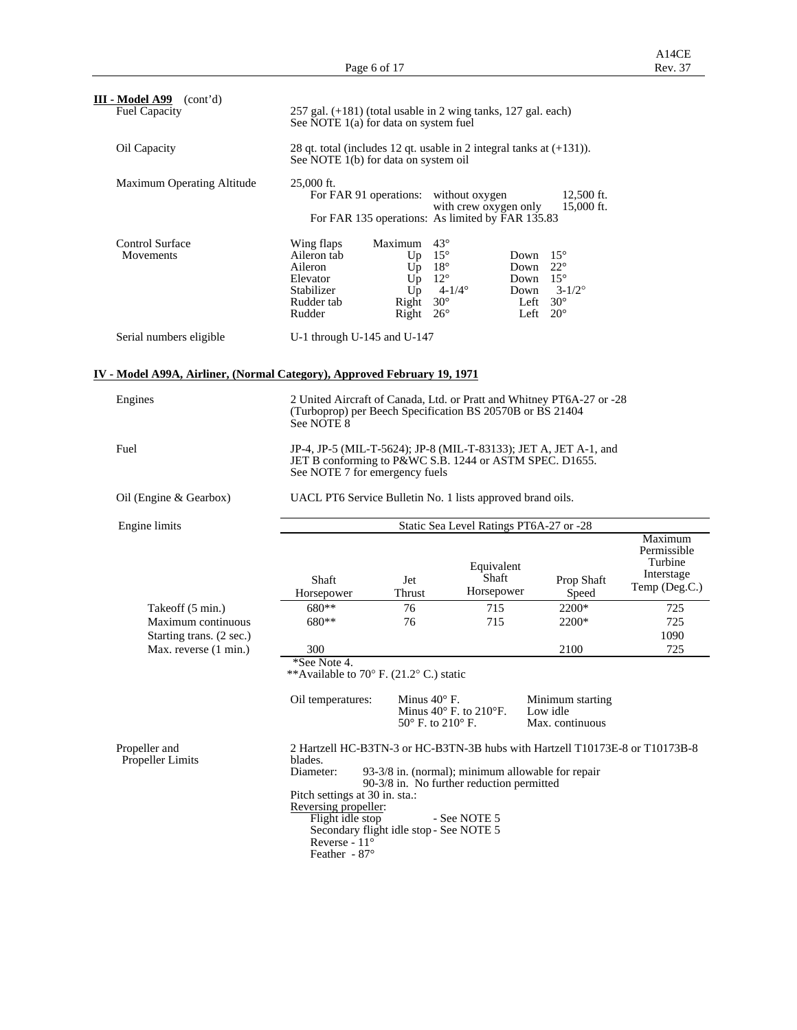| III - Model A99<br>(cont'd)<br><b>Fuel Capacity</b>                      | See NOTE 1(a) for data on system fuel                                                                                                         |                                                                                                                                                      | 257 gal. (+181) (total usable in 2 wing tanks, 127 gal. each)                                                                                                                                  |                                                                                      |                                                                  |
|--------------------------------------------------------------------------|-----------------------------------------------------------------------------------------------------------------------------------------------|------------------------------------------------------------------------------------------------------------------------------------------------------|------------------------------------------------------------------------------------------------------------------------------------------------------------------------------------------------|--------------------------------------------------------------------------------------|------------------------------------------------------------------|
| Oil Capacity                                                             | See NOTE 1(b) for data on system oil                                                                                                          |                                                                                                                                                      | 28 qt. total (includes 12 qt. usable in 2 integral tanks at $(+131)$ ).                                                                                                                        |                                                                                      |                                                                  |
| Maximum Operating Altitude                                               | 25,000 ft.                                                                                                                                    | For FAR 91 operations: without oxygen                                                                                                                | with crew oxygen only<br>For FAR 135 operations: As limited by FAR 135.83                                                                                                                      | 12,500 ft.<br>15,000 ft.                                                             |                                                                  |
| Control Surface<br>Movements                                             | Wing flaps<br>Aileron tab<br>Aileron<br>Elevator<br>Stabilizer<br>Rudder tab<br>Rudder                                                        | $43^{\circ}$<br>Maximum<br>$15^{\circ}$<br>Up<br>$18^{\circ}$<br>Up<br>$12^{\circ}$<br>Up<br>$U_{p}$<br>$30^\circ$<br>Right<br>Right<br>$26^{\circ}$ | Down<br>Down<br>Down $15^\circ$<br>$4 - 1/4^{\circ}$<br>Down<br>Left                                                                                                                           | $15^{\circ}$<br>$22^{\circ}$<br>$3 - 1/2^{\circ}$<br>$30^{\circ}$<br>Left $20^\circ$ |                                                                  |
| Serial numbers eligible                                                  | U-1 through U-145 and U-147                                                                                                                   |                                                                                                                                                      |                                                                                                                                                                                                |                                                                                      |                                                                  |
| IV - Model A99A, Airliner, (Normal Category), Approved February 19, 1971 |                                                                                                                                               |                                                                                                                                                      |                                                                                                                                                                                                |                                                                                      |                                                                  |
| Engines                                                                  | See NOTE 8                                                                                                                                    |                                                                                                                                                      | 2 United Aircraft of Canada, Ltd. or Pratt and Whitney PT6A-27 or -28<br>(Turboprop) per Beech Specification BS 20570B or BS 21404                                                             |                                                                                      |                                                                  |
| Fuel                                                                     | See NOTE 7 for emergency fuels                                                                                                                |                                                                                                                                                      | JP-4, JP-5 (MIL-T-5624); JP-8 (MIL-T-83133); JET A, JET A-1, and<br>JET B conforming to P&WC S.B. 1244 or ASTM SPEC. D1655.                                                                    |                                                                                      |                                                                  |
| Oil (Engine & Gearbox)                                                   |                                                                                                                                               |                                                                                                                                                      | UACL PT6 Service Bulletin No. 1 lists approved brand oils.                                                                                                                                     |                                                                                      |                                                                  |
| Engine limits                                                            |                                                                                                                                               |                                                                                                                                                      | Static Sea Level Ratings PT6A-27 or -28                                                                                                                                                        |                                                                                      |                                                                  |
|                                                                          | Shaft<br>Horsepower                                                                                                                           | Jet<br>Thrust                                                                                                                                        | Equivalent<br>Shaft<br>Horsepower                                                                                                                                                              | Prop Shaft<br>Speed                                                                  | Maximum<br>Permissible<br>Turbine<br>Interstage<br>Temp (Deg.C.) |
| Takeoff (5 min.)                                                         | 680**                                                                                                                                         | 76                                                                                                                                                   | 715                                                                                                                                                                                            | 2200*                                                                                | 725                                                              |
| Maximum continuous                                                       | 680**                                                                                                                                         | 76                                                                                                                                                   | 715                                                                                                                                                                                            | 2200*                                                                                | 725                                                              |
| Starting trans. (2 sec.)                                                 |                                                                                                                                               |                                                                                                                                                      |                                                                                                                                                                                                |                                                                                      | 1090                                                             |
| Max. reverse (1 min.)                                                    | 300                                                                                                                                           |                                                                                                                                                      |                                                                                                                                                                                                | 2100                                                                                 | 725                                                              |
|                                                                          | *See Note 4.<br>**Available to 70 $\degree$ F. (21.2 $\degree$ C.) static                                                                     |                                                                                                                                                      |                                                                                                                                                                                                |                                                                                      |                                                                  |
|                                                                          | Oil temperatures:                                                                                                                             | Minus $40^\circ$ F.<br>$50^\circ$ F. to $210^\circ$ F.                                                                                               | Minus $40^\circ$ F. to $210^\circ$ F.                                                                                                                                                          | Minimum starting<br>Low idle<br>Max. continuous                                      |                                                                  |
| Propeller and<br>Propeller Limits                                        | blades.<br>Diameter:<br>Pitch settings at 30 in. sta.:<br>Reversing propeller:<br>Flight idle stop<br>Secondary flight idle stop - See NOTE 5 |                                                                                                                                                      | 2 Hartzell HC-B3TN-3 or HC-B3TN-3B hubs with Hartzell T10173E-8 or T10173B-8<br>93-3/8 in. (normal); minimum allowable for repair<br>90-3/8 in. No further reduction permitted<br>- See NOTE 5 |                                                                                      |                                                                  |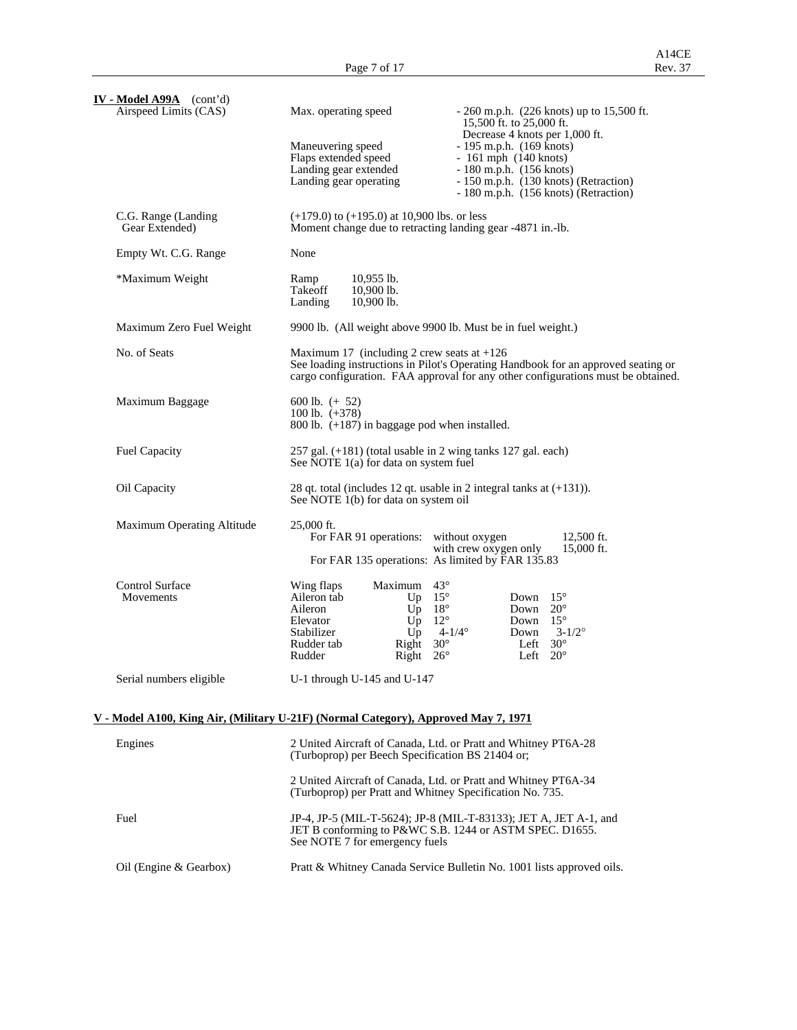| IV - Model A99A (cont'd)<br>Airspeed Limits (CAS)                                         | Max. operating speed                                                                                          | $-260$ m.p.h. (226 knots) up to 15,500 ft.                                                                                                                            |
|-------------------------------------------------------------------------------------------|---------------------------------------------------------------------------------------------------------------|-----------------------------------------------------------------------------------------------------------------------------------------------------------------------|
|                                                                                           | Maneuvering speed                                                                                             | 15,500 ft. to 25,000 ft.<br>Decrease 4 knots per 1,000 ft.<br>$-195$ m.p.h. $(169 \text{ knots})$                                                                     |
|                                                                                           | Flaps extended speed                                                                                          | $-161$ mph $(140$ knots)                                                                                                                                              |
|                                                                                           | Landing gear extended<br>Landing gear operating                                                               | $-180$ m.p.h. $(156$ knots)<br>- 150 m.p.h. (130 knots) (Retraction)                                                                                                  |
|                                                                                           |                                                                                                               | - 180 m.p.h. (156 knots) (Retraction)                                                                                                                                 |
| C.G. Range (Landing<br>Gear Extended)                                                     | $(+179.0)$ to $(+195.0)$ at 10,900 lbs. or less<br>Moment change due to retracting landing gear -4871 in.-lb. |                                                                                                                                                                       |
| Empty Wt. C.G. Range                                                                      | None                                                                                                          |                                                                                                                                                                       |
| *Maximum Weight                                                                           | $10,955$ lb.<br>Ramp<br>10,900 lb.<br>Takeoff<br>Landing<br>10,900 lb.                                        |                                                                                                                                                                       |
| Maximum Zero Fuel Weight                                                                  |                                                                                                               | 9900 lb. (All weight above 9900 lb. Must be in fuel weight.)                                                                                                          |
| No. of Seats                                                                              | Maximum 17 (including 2 crew seats at $+126$ )                                                                | See loading instructions in Pilot's Operating Handbook for an approved seating or<br>cargo configuration. FAA approval for any other configurations must be obtained. |
| Maximum Baggage                                                                           | 600 lb. $(+ 52)$<br>100 lb. $(+378)$<br>800 lb. $(+187)$ in baggage pod when installed.                       |                                                                                                                                                                       |
| Fuel Capacity                                                                             | 257 gal. (+181) (total usable in 2 wing tanks 127 gal. each)<br>See NOTE 1(a) for data on system fuel         |                                                                                                                                                                       |
| Oil Capacity                                                                              | See NOTE 1(b) for data on system oil                                                                          | 28 qt. total (includes 12 qt. usable in 2 integral tanks at $(+131)$ ).                                                                                               |
| Maximum Operating Altitude                                                                | 25,000 ft.<br>For FAR 91 operations: without oxygen                                                           | 12,500 ft.<br>with crew oxygen only<br>15,000 ft.                                                                                                                     |
|                                                                                           |                                                                                                               | For FAR 135 operations: As limited by FAR 135.83                                                                                                                      |
| <b>Control Surface</b>                                                                    | Maximum 43°<br>Wing flaps                                                                                     |                                                                                                                                                                       |
| Movements                                                                                 | Up $15^\circ$<br>Aileron tab<br>$Up$ 18°<br>Aileron                                                           | $15^{\circ}$<br>Down<br>Down<br>$20^{\circ}$                                                                                                                          |
|                                                                                           | $Up$ 12°<br>Elevator<br>Stabilizer<br>Up                                                                      | Down $15^\circ$<br>$4 - 1/4^{\circ}$<br>$3 - 1/2^{\circ}$<br>Down                                                                                                     |
|                                                                                           | Rudder tab<br>Right<br>Rudder<br>Right                                                                        | $30^{\circ}$<br>$30^\circ$<br>Left<br>Left $20^{\circ}$<br>$26^{\circ}$                                                                                               |
| Serial numbers eligible                                                                   | U-1 through U-145 and U-147                                                                                   |                                                                                                                                                                       |
|                                                                                           |                                                                                                               |                                                                                                                                                                       |
| <u>V - Model A100, King Air, (Military U-21F) (Normal Category), Approved May 7, 1971</u> |                                                                                                               |                                                                                                                                                                       |
| Engines                                                                                   | (Turboprop) per Beech Specification BS 21404 or;                                                              | 2 United Aircraft of Canada, Ltd. or Pratt and Whitney PT6A-28                                                                                                        |
|                                                                                           | (Turboprop) per Pratt and Whitney Specification No. 735.                                                      | 2 United Aircraft of Canada, Ltd. or Pratt and Whitney PT6A-34                                                                                                        |
| Fuel                                                                                      | See NOTE 7 for emergency fuels                                                                                | JP-4, JP-5 (MIL-T-5624); JP-8 (MIL-T-83133); JET A, JET A-1, and<br>JET B conforming to P&WC S.B. 1244 or ASTM SPEC. D1655.                                           |
| Oil (Engine & Gearbox)                                                                    |                                                                                                               | Pratt & Whitney Canada Service Bulletin No. 1001 lists approved oils.                                                                                                 |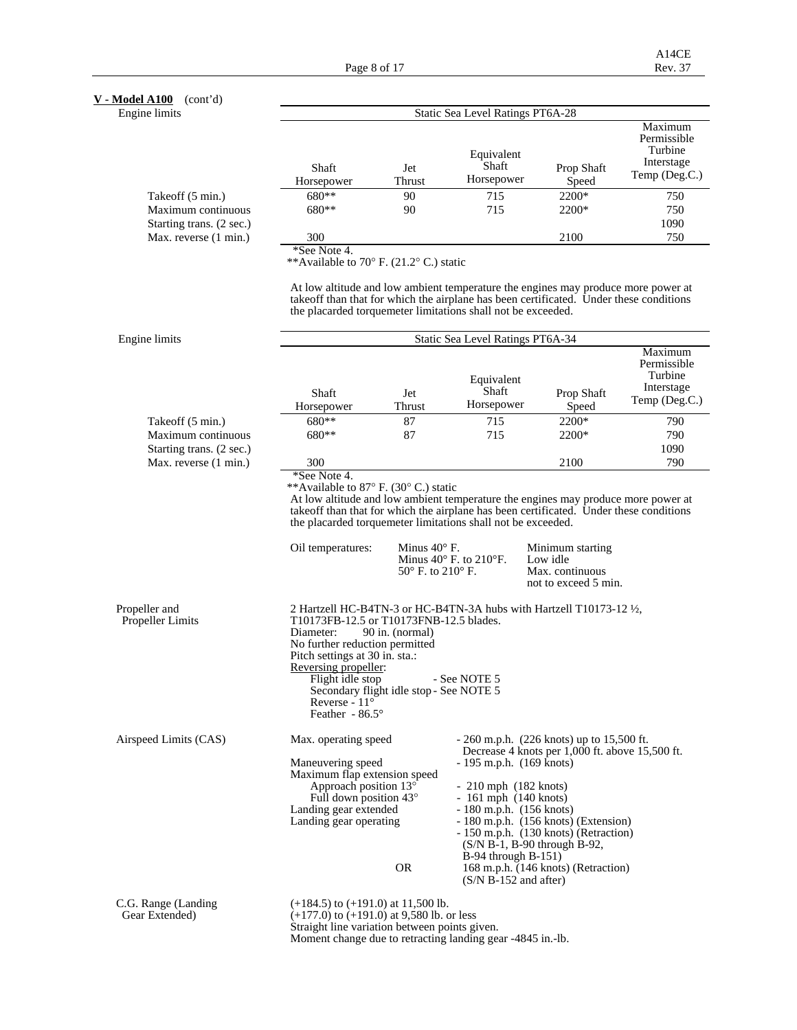**V - Model A100** (cont'd)

Engine limits

| e limits                 | Static Sea Level Ratings PT6A-28 |                      |                                   |                     |                                                                  |  |  |  |  |
|--------------------------|----------------------------------|----------------------|-----------------------------------|---------------------|------------------------------------------------------------------|--|--|--|--|
|                          | Shaft<br>Horsepower              | Jet<br><b>Thrust</b> | Equivalent<br>Shaft<br>Horsepower | Prop Shaft<br>Speed | Maximum<br>Permissible<br>Turbine<br>Interstage<br>Temp (Deg.C.) |  |  |  |  |
| Takeoff (5 min.)         | 680**                            | 90                   | 715                               | 2200*               | 750                                                              |  |  |  |  |
| Maximum continuous       | 680**                            | 90                   | 715                               | 2200*               | 750                                                              |  |  |  |  |
| Starting trans. (2 sec.) |                                  |                      |                                   |                     | 1090                                                             |  |  |  |  |
| Max. reverse (1 min.)    | 300                              |                      |                                   | 2100                | 750                                                              |  |  |  |  |

\*See Note 4.

\*\*Available to 70° F. (21.2° C.) static

 At low altitude and low ambient temperature the engines may produce more power at takeoff than that for which the airplane has been certificated. Under these conditions the placarded torquemeter limitations shall not be exceeded.

| Engine limits            | Static Sea Level Ratings PT6A-34 |               |                                   |                     |                                                                  |  |  |  |
|--------------------------|----------------------------------|---------------|-----------------------------------|---------------------|------------------------------------------------------------------|--|--|--|
|                          | Shaft<br>Horsepower              | Jet<br>Thrust | Equivalent<br>Shaft<br>Horsepower | Prop Shaft<br>Speed | Maximum<br>Permissible<br>Turbine<br>Interstage<br>Temp (Deg.C.) |  |  |  |
| Takeoff (5 min.)         | $680**$                          | 87            | 715                               | $2200*$             | 790                                                              |  |  |  |
| Maximum continuous       | $680**$                          | 87            | 715                               | 2200*               | 790                                                              |  |  |  |
| Starting trans. (2 sec.) |                                  |               |                                   |                     | 1090                                                             |  |  |  |
| Max. reverse (1 min.)    | 300                              |               |                                   | 2100                | 790                                                              |  |  |  |

 At low altitude and low ambient temperature the engines may produce more power at takeoff than that for which the airplane has been certificated. Under these conditions the placarded torquemeter limitations shall not be exceeded.

|                                          | Oil temperatures:                                                                                                                                                                                                                         | Minus $40^\circ$ F.<br>Minus $40^{\circ}$ F. to $210^{\circ}$ F.<br>$50^{\circ}$ F, to $210^{\circ}$ F.                  | Minimum starting<br>Low idle<br>Max. continuous<br>not to exceed 5 min.                                                                                                                                                                                                                                                |
|------------------------------------------|-------------------------------------------------------------------------------------------------------------------------------------------------------------------------------------------------------------------------------------------|--------------------------------------------------------------------------------------------------------------------------|------------------------------------------------------------------------------------------------------------------------------------------------------------------------------------------------------------------------------------------------------------------------------------------------------------------------|
| Propeller and<br><b>Propeller Limits</b> | T10173FB-12.5 or T10173FNB-12.5 blades.<br>90 in. (normal)<br>Diameter:<br>No further reduction permitted<br>Pitch settings at 30 in. sta.:<br>Reversing propeller:<br>Flight idle stop<br>Reverse - $11^\circ$<br>Feather - $86.5^\circ$ | - See NOTE 5<br>Secondary flight idle stop - See NOTE 5                                                                  | 2 Hartzell HC-B4TN-3 or HC-B4TN-3A hubs with Hartzell T10173-12 $\frac{1}{2}$ ,                                                                                                                                                                                                                                        |
| Airspeed Limits (CAS)                    | Max. operating speed<br>Maneuvering speed<br>Maximum flap extension speed<br>Approach position $13^{\circ}$<br>Full down position 43°<br>Landing gear extended<br>Landing gear operating                                                  | $-210$ mph $(182$ knots)<br>$-161$ mph $(140$ knots)<br>$B-94$ through $B-151$ )<br><b>OR</b><br>$(S/N B-152$ and after) | $-260$ m.p.h. (226 knots) up to 15,500 ft.<br>Decrease 4 knots per 1,000 ft. above 15,500 ft.<br>$-195$ m.p.h. $(169$ knots)<br>$-180$ m.p.h. $(156$ knots)<br>- 180 m.p.h. (156 knots) (Extension)<br>- 150 m.p.h. (130 knots) (Retraction)<br>$(S/N B-1, B-90)$ through B-92,<br>168 m.p.h. (146 knots) (Retraction) |
| C.G. Range (Landing)<br>Gear Extended)   | $(+184.5)$ to $(+191.0)$ at 11,500 lb.<br>$(+177.0)$ to $(+191.0)$ at 9.580 lb. or less<br>Straight line variation between points given.                                                                                                  |                                                                                                                          |                                                                                                                                                                                                                                                                                                                        |

Moment change due to retracting landing gear -4845 in.-lb.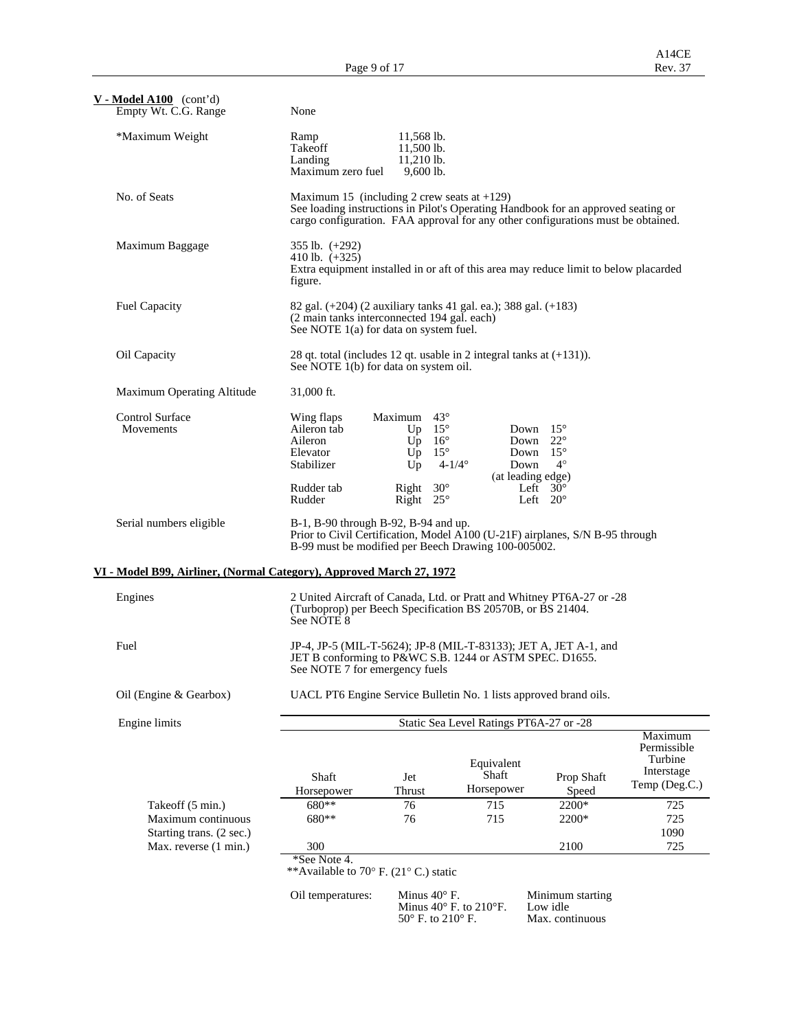| $V - Model A100$ (cont'd)<br>Empty Wt. C.G. Range                       | None                                                                                                                                                                                                                    |                                                            |                                                                                                                                      |                                      |                                                                  |  |  |  |  |
|-------------------------------------------------------------------------|-------------------------------------------------------------------------------------------------------------------------------------------------------------------------------------------------------------------------|------------------------------------------------------------|--------------------------------------------------------------------------------------------------------------------------------------|--------------------------------------|------------------------------------------------------------------|--|--|--|--|
| *Maximum Weight                                                         | Ramp<br>Takeoff<br>Landing<br>Maximum zero fuel                                                                                                                                                                         | 11,568 lb.<br>11,500 lb.<br>$11,210$ lb.<br>$9,600$ lb.    |                                                                                                                                      |                                      |                                                                  |  |  |  |  |
| No. of Seats                                                            | Maximum 15 (including 2 crew seats at $+129$ )<br>See loading instructions in Pilot's Operating Handbook for an approved seating or<br>cargo configuration. FAA approval for any other configurations must be obtained. |                                                            |                                                                                                                                      |                                      |                                                                  |  |  |  |  |
| Maximum Baggage                                                         | 355 lb. $(+292)$<br>410 lb. $(+325)$<br>Extra equipment installed in or aft of this area may reduce limit to below placarded<br>figure.                                                                                 |                                                            |                                                                                                                                      |                                      |                                                                  |  |  |  |  |
| <b>Fuel Capacity</b>                                                    | 82 gal. (+204) (2 auxiliary tanks 41 gal. ea.); 388 gal. (+183)<br>(2 main tanks interconnected 194 gal. each)<br>See NOTE 1(a) for data on system fuel.                                                                |                                                            |                                                                                                                                      |                                      |                                                                  |  |  |  |  |
| Oil Capacity                                                            |                                                                                                                                                                                                                         | See NOTE 1(b) for data on system oil.                      | 28 qt. total (includes 12 qt. usable in 2 integral tanks at $(+131)$ ).                                                              |                                      |                                                                  |  |  |  |  |
| Maximum Operating Altitude                                              | 31,000 ft.                                                                                                                                                                                                              |                                                            |                                                                                                                                      |                                      |                                                                  |  |  |  |  |
| <b>Control Surface</b><br>Movements                                     | Wing flaps<br>Aileron tab<br>Aileron<br>Elevator<br>Stabilizer                                                                                                                                                          | Maximum 43°<br>Up $15^\circ$<br>$Up$ 16°<br>$Up$ 15°<br>Up | Down $15^\circ$<br>Down $22^{\circ}$<br>Down $15^\circ$<br>$4 - 1/4^{\circ}$<br>Down<br>(at leading edge)                            | $4^\circ$                            |                                                                  |  |  |  |  |
|                                                                         | Rudder tab<br>Rudder                                                                                                                                                                                                    | Right $30^\circ$<br>Right $25^\circ$                       |                                                                                                                                      | Left $30^\circ$<br>Left $20^{\circ}$ |                                                                  |  |  |  |  |
| Serial numbers eligible                                                 |                                                                                                                                                                                                                         | B-1, B-90 through B-92, B-94 and up.                       | Prior to Civil Certification, Model A100 (U-21F) airplanes, S/N B-95 through<br>B-99 must be modified per Beech Drawing 100-005002.  |                                      |                                                                  |  |  |  |  |
| VI - Model B99, Airliner, (Normal Category), Approved March 27, 1972    |                                                                                                                                                                                                                         |                                                            |                                                                                                                                      |                                      |                                                                  |  |  |  |  |
| Engines                                                                 | See NOTE 8                                                                                                                                                                                                              |                                                            | 2 United Aircraft of Canada, Ltd. or Pratt and Whitney PT6A-27 or -28<br>(Turboprop) per Beech Specification BS 20570B, or BS 21404. |                                      |                                                                  |  |  |  |  |
| Fuel                                                                    |                                                                                                                                                                                                                         | See NOTE 7 for emergency fuels                             | JP-4, JP-5 (MIL-T-5624); JP-8 (MIL-T-83133); JET A, JET A-1, and<br>JET B conforming to P&WC S.B. 1244 or ASTM SPEC. D1655.          |                                      |                                                                  |  |  |  |  |
| Oil (Engine & Gearbox)                                                  |                                                                                                                                                                                                                         |                                                            | UACL PT6 Engine Service Bulletin No. 1 lists approved brand oils.                                                                    |                                      |                                                                  |  |  |  |  |
| Engine limits                                                           |                                                                                                                                                                                                                         |                                                            | Static Sea Level Ratings PT6A-27 or -28                                                                                              |                                      |                                                                  |  |  |  |  |
|                                                                         | Shaft<br>Horsepower                                                                                                                                                                                                     | Jet<br>Thrust                                              | Equivalent<br>Shaft<br>Horsepower                                                                                                    | Prop Shaft<br>Speed                  | Maximum<br>Permissible<br>Turbine<br>Interstage<br>Temp (Deg.C.) |  |  |  |  |
| Takeoff (5 min.)                                                        | 680**                                                                                                                                                                                                                   | 76                                                         | 715                                                                                                                                  | 2200*                                | 725                                                              |  |  |  |  |
| Maximum continuous<br>Starting trans. (2 sec.)<br>Max. reverse (1 min.) | 680**<br>300                                                                                                                                                                                                            | 76                                                         | 715                                                                                                                                  | 2200*<br>2100                        | 725<br>1090<br>725                                               |  |  |  |  |
|                                                                         | *See Note 4.                                                                                                                                                                                                            | **Available to 70° F. (21° C.) static                      |                                                                                                                                      |                                      |                                                                  |  |  |  |  |
|                                                                         | Oil temperatures:                                                                                                                                                                                                       | Minus $40^{\circ}$ F.                                      | Minus $40^\circ$ F. to $210^\circ$ F.                                                                                                | Minimum starting<br>Low idle         |                                                                  |  |  |  |  |

 $50^{\circ}$  F. to  $210^{\circ}$  F. Max. continuous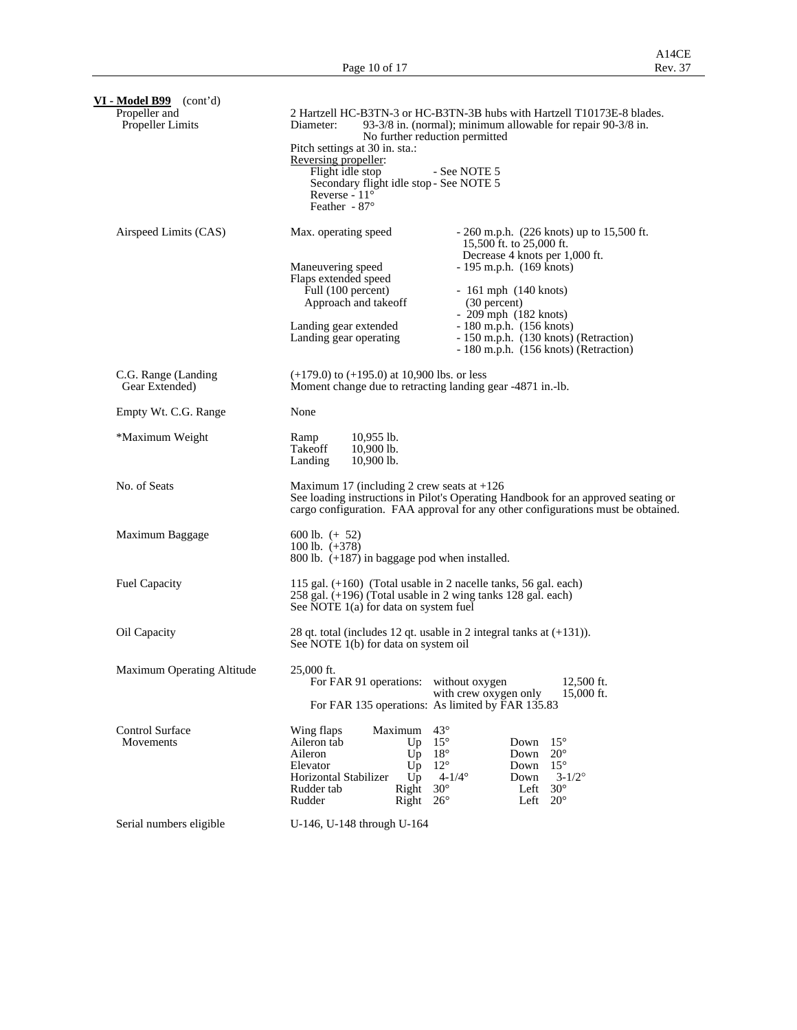| $VI$ - Model B99 (cont'd)                |                                                                                                                                                                                                                                                                                                                                                                                                                                                                                                        |  |  |  |  |  |  |
|------------------------------------------|--------------------------------------------------------------------------------------------------------------------------------------------------------------------------------------------------------------------------------------------------------------------------------------------------------------------------------------------------------------------------------------------------------------------------------------------------------------------------------------------------------|--|--|--|--|--|--|
| Propeller and<br><b>Propeller Limits</b> | 2 Hartzell HC-B3TN-3 or HC-B3TN-3B hubs with Hartzell T10173E-8 blades.<br>93-3/8 in. (normal); minimum allowable for repair 90-3/8 in.<br>Diameter:<br>No further reduction permitted<br>Pitch settings at 30 in. sta.:<br>Reversing propeller:<br>Flight idle stop<br>- See NOTE 5<br>Secondary flight idle stop - See NOTE 5<br>Reverse - $11^\circ$<br>Feather - $87^\circ$                                                                                                                        |  |  |  |  |  |  |
| Airspeed Limits (CAS)                    | Max. operating speed<br>$-260$ m.p.h. (226 knots) up to 15,500 ft.<br>15,500 ft. to 25,000 ft.<br>Decrease 4 knots per 1,000 ft.<br>Maneuvering speed<br>$-195$ m.p.h. $(169$ knots)<br>Flaps extended speed<br>Full (100 percent)<br>$-161$ mph $(140$ knots)<br>Approach and takeoff<br>(30 percent)<br>$-209$ mph $(182$ knots)<br>$-180$ m.p.h. $(156$ knots)<br>Landing gear extended<br>Landing gear operating<br>- 150 m.p.h. (130 knots) (Retraction)<br>- 180 m.p.h. (156 knots) (Retraction) |  |  |  |  |  |  |
| C.G. Range (Landing<br>Gear Extended)    | $(+179.0)$ to $(+195.0)$ at 10,900 lbs. or less<br>Moment change due to retracting landing gear -4871 in.-lb.                                                                                                                                                                                                                                                                                                                                                                                          |  |  |  |  |  |  |
| Empty Wt. C.G. Range                     | None                                                                                                                                                                                                                                                                                                                                                                                                                                                                                                   |  |  |  |  |  |  |
| *Maximum Weight                          | $10,955$ lb.<br>Ramp<br>Takeoff<br>10,900 lb.<br>Landing<br>$10,900$ lb.                                                                                                                                                                                                                                                                                                                                                                                                                               |  |  |  |  |  |  |
| No. of Seats                             | Maximum 17 (including 2 crew seats at $+126$<br>See loading instructions in Pilot's Operating Handbook for an approved seating or<br>cargo configuration. FAA approval for any other configurations must be obtained.                                                                                                                                                                                                                                                                                  |  |  |  |  |  |  |
| Maximum Baggage                          | 600 lb. $(+ 52)$<br>100 lb. $(+378)$<br>800 lb. $(+187)$ in baggage pod when installed.                                                                                                                                                                                                                                                                                                                                                                                                                |  |  |  |  |  |  |
| <b>Fuel Capacity</b>                     | 115 gal. $(+160)$ (Total usable in 2 nacelle tanks, 56 gal. each)<br>258 gal. (+196) (Total usable in 2 wing tanks 128 gal. each)<br>See NOTE 1(a) for data on system fuel                                                                                                                                                                                                                                                                                                                             |  |  |  |  |  |  |
| Oil Capacity                             | 28 qt. total (includes 12 qt. usable in 2 integral tanks at (+131)).<br>See NOTE 1(b) for data on system oil                                                                                                                                                                                                                                                                                                                                                                                           |  |  |  |  |  |  |
| Maximum Operating Altitude               | 25,000 ft.<br>For FAR 91 operations: without oxygen<br>12,500 ft.<br>with crew oxygen only<br>15,000 ft.<br>For FAR 135 operations: As limited by FAR 135.83                                                                                                                                                                                                                                                                                                                                           |  |  |  |  |  |  |
| <b>Control Surface</b><br>Movements      | $43^\circ$<br>Maximum<br>Wing flaps<br>$15^{\circ}$<br>$15^{\circ}$<br>Aileron tab<br>Down<br>Up<br>Aileron<br>$18^\circ$<br>$20^{\circ}$<br>Down<br>Up<br>$12^{\circ}$<br>$15^{\circ}$<br>Elevator<br>Down<br>Up<br>Horizontal Stabilizer<br>Up<br>$4 - 1/4^{\circ}$<br>Down<br>$3 - 1/2^{\circ}$<br>$30^\circ$<br>$30^\circ$<br>Rudder tab<br>Right<br>Left<br>$26^{\circ}$<br>$20^{\circ}$<br>Rudder<br>Right<br>Left                                                                               |  |  |  |  |  |  |
| Serial numbers eligible                  | U-146, U-148 through U-164                                                                                                                                                                                                                                                                                                                                                                                                                                                                             |  |  |  |  |  |  |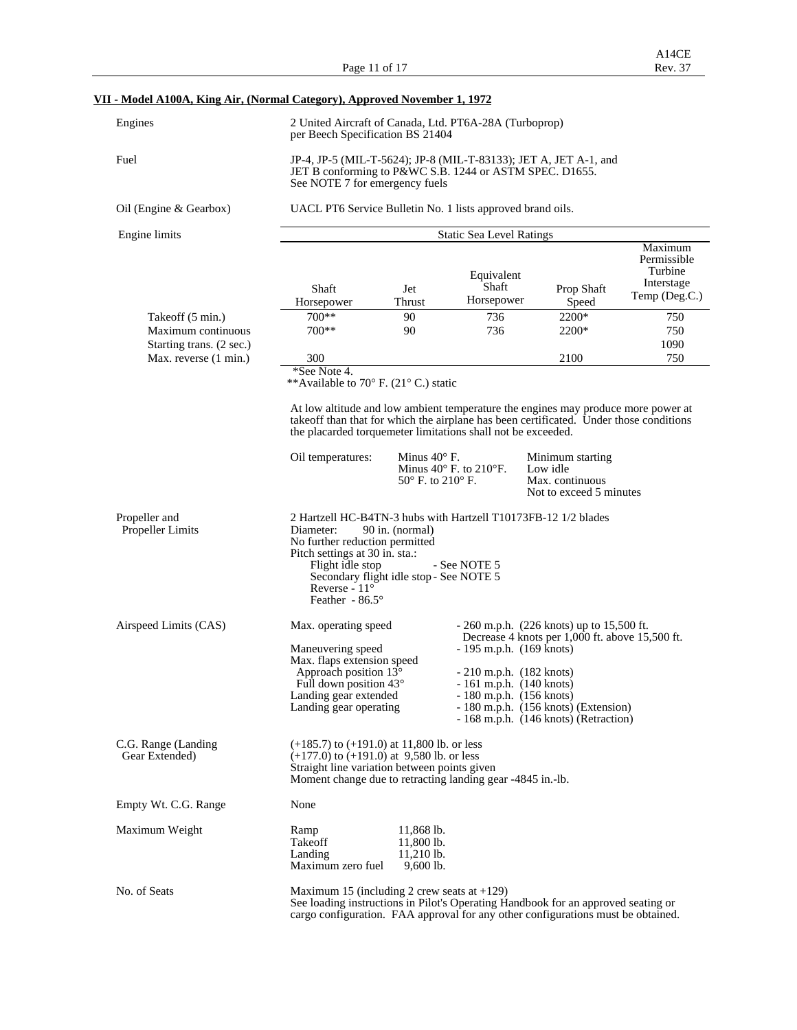Page 11 of 17

# **VII - Model A100A, King Air, (Normal Category), Approved November 1, 1972**

| Engines                                                            | 2 United Aircraft of Canada, Ltd. PT6A-28A (Turboprop)<br>per Beech Specification BS 21404                                                                                                                                                                                                                                                                                                                                                        |                                                         |                                                                                                                                                                                                                                                               |                                                 |                                                                                        |  |  |  |  |
|--------------------------------------------------------------------|---------------------------------------------------------------------------------------------------------------------------------------------------------------------------------------------------------------------------------------------------------------------------------------------------------------------------------------------------------------------------------------------------------------------------------------------------|---------------------------------------------------------|---------------------------------------------------------------------------------------------------------------------------------------------------------------------------------------------------------------------------------------------------------------|-------------------------------------------------|----------------------------------------------------------------------------------------|--|--|--|--|
| Fuel                                                               | JP-4, JP-5 (MIL-T-5624); JP-8 (MIL-T-83133); JET A, JET A-1, and<br>JET B conforming to P&WC S.B. 1244 or ASTM SPEC. D1655.<br>See NOTE 7 for emergency fuels                                                                                                                                                                                                                                                                                     |                                                         |                                                                                                                                                                                                                                                               |                                                 |                                                                                        |  |  |  |  |
| Oil (Engine & Gearbox)                                             | UACL PT6 Service Bulletin No. 1 lists approved brand oils.                                                                                                                                                                                                                                                                                                                                                                                        |                                                         |                                                                                                                                                                                                                                                               |                                                 |                                                                                        |  |  |  |  |
| Engine limits                                                      | <b>Static Sea Level Ratings</b>                                                                                                                                                                                                                                                                                                                                                                                                                   |                                                         |                                                                                                                                                                                                                                                               |                                                 |                                                                                        |  |  |  |  |
| Takeoff (5 min.)<br>Maximum continuous<br>Starting trans. (2 sec.) | Shaft<br>Horsepower<br>$700**$<br>$700**$                                                                                                                                                                                                                                                                                                                                                                                                         | Jet<br>Thrust<br>90<br>90                               | Equivalent<br>Shaft<br>Horsepower<br>736<br>736                                                                                                                                                                                                               | Prop Shaft<br>Speed<br>2200*<br>2200*           | Maximum<br>Permissible<br>Turbine<br>Interstage<br>Temp (Deg.C.)<br>750<br>750<br>1090 |  |  |  |  |
| Max. reverse (1 min.)                                              | 300<br>*See Note 4.                                                                                                                                                                                                                                                                                                                                                                                                                               |                                                         |                                                                                                                                                                                                                                                               | 2100                                            | 750                                                                                    |  |  |  |  |
|                                                                    | **Available to 70° F. (21° C.) static<br>At low altitude and low ambient temperature the engines may produce more power at<br>takeoff than that for which the airplane has been certificated. Under those conditions<br>the placarded torquemeter limitations shall not be exceeded.<br>Oil temperatures:<br>Minus $40^\circ$ F.<br>Minimum starting<br>Minus $40^\circ$ F. to $210^\circ$ F.<br>Low idle<br>50° F. to 210° F.<br>Max. continuous |                                                         |                                                                                                                                                                                                                                                               |                                                 |                                                                                        |  |  |  |  |
| Propeller and<br><b>Propeller Limits</b>                           | 2 Hartzell HC-B4TN-3 hubs with Hartzell T10173FB-12 1/2 blades<br>Diameter:<br>No further reduction permitted<br>Pitch settings at 30 in. sta.:<br>Flight idle stop<br>Secondary flight idle stop - See NOTE 5<br>Reverse - 11°<br>Feather - $86.5^\circ$                                                                                                                                                                                         | 90 in. (normal)                                         | - See NOTE 5                                                                                                                                                                                                                                                  |                                                 |                                                                                        |  |  |  |  |
| Airspeed Limits (CAS)                                              | Max. operating speed<br>Maneuvering speed<br>Max. flaps extension speed<br>Approach position $13^{\circ}$<br>Full down position $43^\circ$<br>Landing gear extended<br>Landing gear operating                                                                                                                                                                                                                                                     |                                                         | $-260$ m.p.h. (226 knots) up to 15,500 ft.<br>$-195$ m.p.h. $(169$ knots)<br>$-210$ m.p.h. $(182$ knots)<br>$-161$ m.p.h. $(140$ knots)<br>$-180$ m.p.h. $(156$ knots)<br>$-180$ m.p.h. $(156$ knots) (Extension)<br>$-168$ m.p.h. $(146$ knots) (Retraction) | Decrease 4 knots per 1,000 ft. above 15,500 ft. |                                                                                        |  |  |  |  |
| C.G. Range (Landing<br>Gear Extended)                              | $(+185.7)$ to $(+191.0)$ at 11,800 lb. or less<br>$(+177.0)$ to $(+191.0)$ at 9,580 lb. or less<br>Straight line variation between points given<br>Moment change due to retracting landing gear -4845 in.-lb.                                                                                                                                                                                                                                     |                                                         |                                                                                                                                                                                                                                                               |                                                 |                                                                                        |  |  |  |  |
| Empty Wt. C.G. Range                                               | None                                                                                                                                                                                                                                                                                                                                                                                                                                              |                                                         |                                                                                                                                                                                                                                                               |                                                 |                                                                                        |  |  |  |  |
| Maximum Weight                                                     | Ramp<br>Takeoff<br>Landing<br>Maximum zero fuel                                                                                                                                                                                                                                                                                                                                                                                                   | 11,868 lb.<br>11,800 lb.<br>$11,210$ lb.<br>$9,600$ lb. |                                                                                                                                                                                                                                                               |                                                 |                                                                                        |  |  |  |  |
| No. of Seats                                                       | Maximum 15 (including 2 crew seats at $+129$ )<br>See loading instructions in Pilot's Operating Handbook for an approved seating or                                                                                                                                                                                                                                                                                                               |                                                         |                                                                                                                                                                                                                                                               |                                                 |                                                                                        |  |  |  |  |

cargo configuration. FAA approval for any other configurations must be obtained.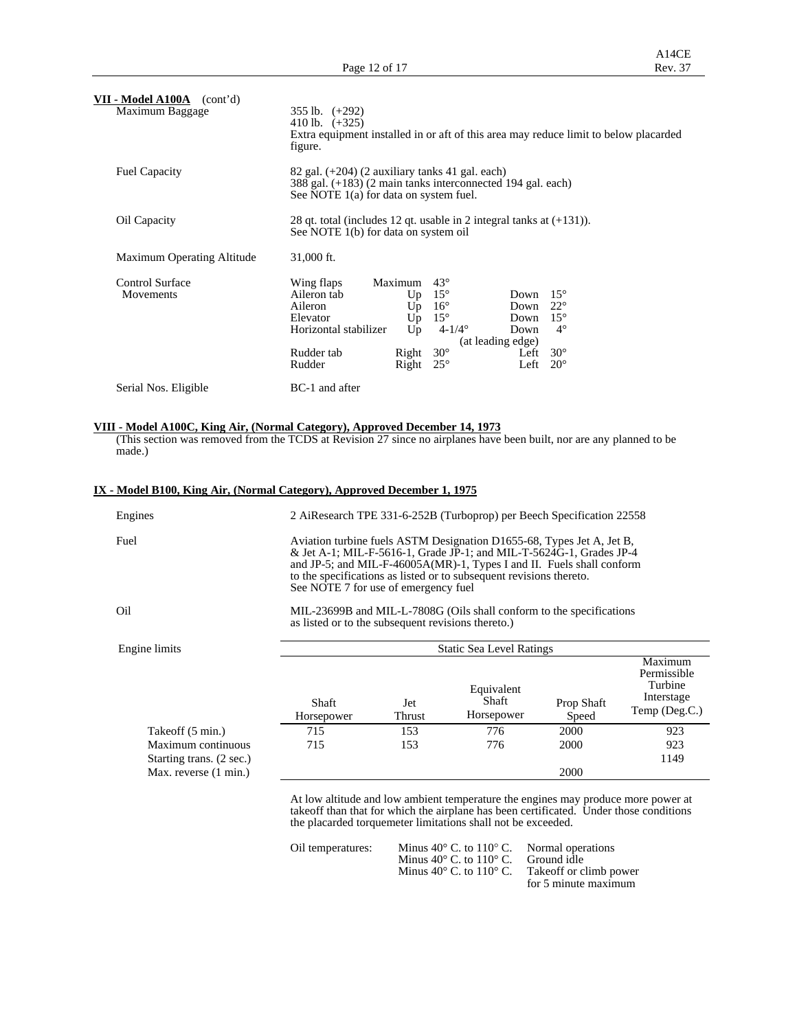| VII - Model A100A<br>(cont'd) |                                                                                                                                                              |  |  |  |  |  |  |
|-------------------------------|--------------------------------------------------------------------------------------------------------------------------------------------------------------|--|--|--|--|--|--|
| Maximum Baggage               | $355$ lb. $(+292)$<br>410 lb. $(+325)$<br>Extra equipment installed in or aft of this area may reduce limit to below placarded<br>figure.                    |  |  |  |  |  |  |
|                               |                                                                                                                                                              |  |  |  |  |  |  |
| <b>Fuel Capacity</b>          | $82$ gal. $(+204)$ (2 auxiliary tanks 41 gal. each)<br>388 gal. (+183) (2 main tanks interconnected 194 gal. each)<br>See NOTE 1(a) for data on system fuel. |  |  |  |  |  |  |
| Oil Capacity                  | 28 qt. total (includes 12 qt. usable in 2 integral tanks at $(+131)$ ).<br>See NOTE 1(b) for data on system oil                                              |  |  |  |  |  |  |
| Maximum Operating Altitude    | 31,000 ft.                                                                                                                                                   |  |  |  |  |  |  |
| Control Surface               | $43^\circ$<br>Wing flaps<br>Maximum                                                                                                                          |  |  |  |  |  |  |
| Movements                     | $15^{\circ}$<br>Aileron tab<br>$15^{\circ}$<br>Up<br>Down                                                                                                    |  |  |  |  |  |  |
|                               | $16^{\circ}$<br>$22^{\circ}$<br>Aileron<br>Up<br>Down                                                                                                        |  |  |  |  |  |  |
|                               | $15^{\circ}$<br>Up<br>$15^{\circ}$<br>Elevator<br>Down                                                                                                       |  |  |  |  |  |  |
|                               | $4 - 1/4^{\circ}$<br>Horizontal stabilizer<br>Up<br>$4^\circ$<br>Down                                                                                        |  |  |  |  |  |  |
|                               | (at leading edge)                                                                                                                                            |  |  |  |  |  |  |
|                               | $30^\circ$<br>Rudder tab<br>$30^\circ$<br>Right<br>Left                                                                                                      |  |  |  |  |  |  |
|                               | Rudder<br>Right<br>$25^{\circ}$<br>Left<br>$20^{\circ}$                                                                                                      |  |  |  |  |  |  |
| Serial Nos. Eligible          | BC-1 and after                                                                                                                                               |  |  |  |  |  |  |

### **VIII - Model A100C, King Air, (Normal Category), Approved December 14, 1973**

 (This section was removed from the TCDS at Revision 27 since no airplanes have been built, nor are any planned to be made.)

| IX - Model B100, King Air, (Normal Category), Approved December 1, 1975 |                                                                                                                            |                                                                                                                                                                                                                                                                                                                                      |                                   |                     |                                                                  |  |  |  |  |
|-------------------------------------------------------------------------|----------------------------------------------------------------------------------------------------------------------------|--------------------------------------------------------------------------------------------------------------------------------------------------------------------------------------------------------------------------------------------------------------------------------------------------------------------------------------|-----------------------------------|---------------------|------------------------------------------------------------------|--|--|--|--|
| Engines                                                                 |                                                                                                                            | 2 AiResearch TPE 331-6-252B (Turboprop) per Beech Specification 22558                                                                                                                                                                                                                                                                |                                   |                     |                                                                  |  |  |  |  |
| Fuel                                                                    |                                                                                                                            | Aviation turbine fuels ASTM Designation D1655-68, Types Jet A, Jet B,<br>& Jet A-1; MIL-F-5616-1, Grade JP-1; and MIL-T-5624G-1, Grades JP-4<br>and JP-5; and MIL-F-46005A(MR)-1, Types I and II. Fuels shall conform<br>to the specifications as listed or to subsequent revisions thereto.<br>See NOTE 7 for use of emergency fuel |                                   |                     |                                                                  |  |  |  |  |
| Oil                                                                     | MIL-23699B and MIL-L-7808G (Oils shall conform to the specifications<br>as listed or to the subsequent revisions thereto.) |                                                                                                                                                                                                                                                                                                                                      |                                   |                     |                                                                  |  |  |  |  |
| Engine limits                                                           |                                                                                                                            |                                                                                                                                                                                                                                                                                                                                      | <b>Static Sea Level Ratings</b>   |                     |                                                                  |  |  |  |  |
|                                                                         | Shaft<br>Horsepower                                                                                                        | Jet<br>Thrust                                                                                                                                                                                                                                                                                                                        | Equivalent<br>Shaft<br>Horsepower | Prop Shaft<br>Speed | Maximum<br>Permissible<br>Turbine<br>Interstage<br>Temp (Deg.C.) |  |  |  |  |
| Takeoff (5 min.)                                                        | 715                                                                                                                        | 153                                                                                                                                                                                                                                                                                                                                  | 776                               | 2000                | 923                                                              |  |  |  |  |
| Maximum continuous                                                      | 715                                                                                                                        | 153                                                                                                                                                                                                                                                                                                                                  | 776                               | 2000                | 923                                                              |  |  |  |  |
| Starting trans. (2 sec.)                                                |                                                                                                                            | 1149                                                                                                                                                                                                                                                                                                                                 |                                   |                     |                                                                  |  |  |  |  |
| Max. reverse (1 min.)                                                   |                                                                                                                            |                                                                                                                                                                                                                                                                                                                                      |                                   | 2000                |                                                                  |  |  |  |  |
|                                                                         |                                                                                                                            |                                                                                                                                                                                                                                                                                                                                      |                                   |                     |                                                                  |  |  |  |  |

 At low altitude and low ambient temperature the engines may produce more power at takeoff than that for which the airplane has been certificated. Under those conditions the placarded torquemeter limitations shall not be exceeded.

| Oil temperatures: | Minus $40^{\circ}$ C, to $110^{\circ}$ C. Normal operations        |                      |
|-------------------|--------------------------------------------------------------------|----------------------|
|                   | Minus $40^{\circ}$ C, to $110^{\circ}$ C. Ground idle              |                      |
|                   | Minus $40^{\circ}$ C, to $110^{\circ}$ C. Take of f or climb power |                      |
|                   |                                                                    | for 5 minute maximum |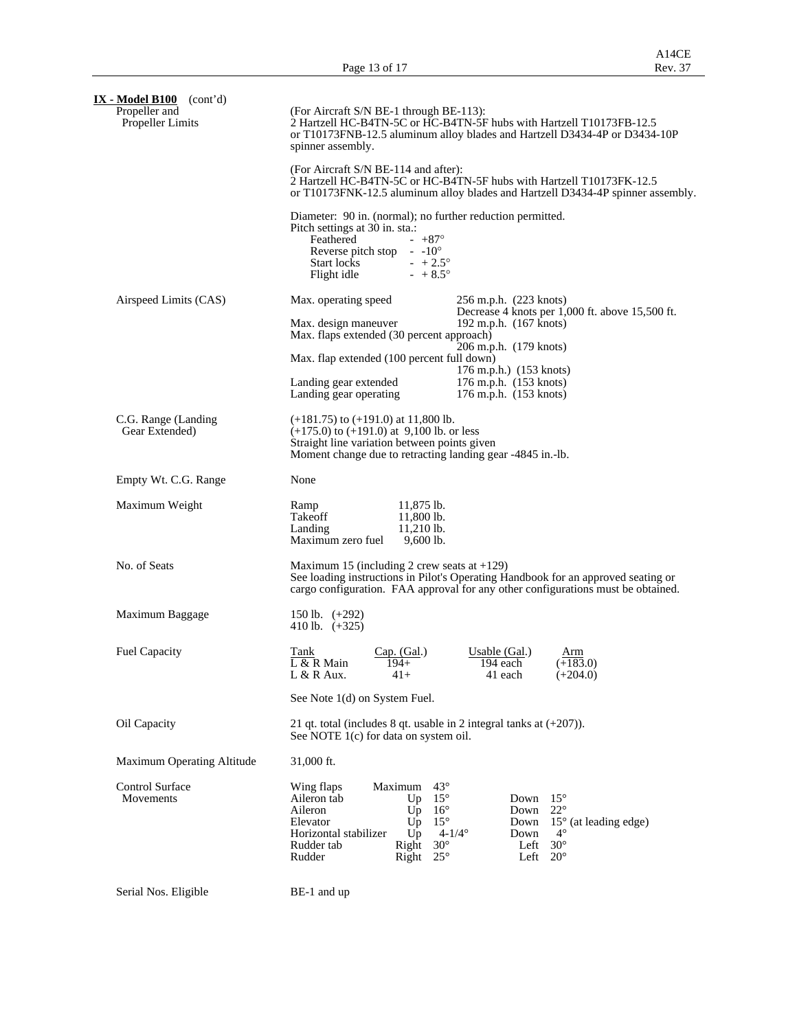| $IX - Model B100$ (cont'd)<br>Propeller and<br><b>Propeller Limits</b> | (For Aircraft S/N BE-1 through BE-113):<br>2 Hartzell HC-B4TN-5C or HC-B4TN-5F hubs with Hartzell T10173FB-12.5<br>or T10173FNB-12.5 aluminum alloy blades and Hartzell D3434-4P or D3434-10P<br>spinner assembly.                                                                                                                                                                                                                                                                  |  |  |  |  |  |  |  |
|------------------------------------------------------------------------|-------------------------------------------------------------------------------------------------------------------------------------------------------------------------------------------------------------------------------------------------------------------------------------------------------------------------------------------------------------------------------------------------------------------------------------------------------------------------------------|--|--|--|--|--|--|--|
|                                                                        | (For Aircraft S/N BE-114 and after):<br>2 Hartzell HC-B4TN-5C or HC-B4TN-5F hubs with Hartzell T10173FK-12.5<br>or T10173FNK-12.5 aluminum alloy blades and Hartzell D3434-4P spinner assembly.                                                                                                                                                                                                                                                                                     |  |  |  |  |  |  |  |
|                                                                        | Diameter: 90 in. (normal); no further reduction permitted.<br>Pitch settings at 30 in. sta.:<br>Feathered<br>$- +87^{\circ}$<br>Reverse pitch stop $-10^{\circ}$<br>Start locks<br>$- +2.5^{\circ}$<br>Flight idle<br>$- + 8.5^{\circ}$                                                                                                                                                                                                                                             |  |  |  |  |  |  |  |
| Airspeed Limits (CAS)                                                  | Max. operating speed<br>256 m.p.h. (223 knots)<br>Decrease 4 knots per 1,000 ft. above 15,500 ft.<br>Max. design maneuver<br>192 m.p.h. (167 knots)<br>Max. flaps extended (30 percent approach)<br>206 m.p.h. (179 knots)<br>Max. flap extended (100 percent full down)<br>176 m.p.h.) (153 knots)<br>Landing gear extended<br>176 m.p.h. (153 knots)<br>Landing gear operating<br>176 m.p.h. (153 knots)                                                                          |  |  |  |  |  |  |  |
| C.G. Range (Landing<br>Gear Extended)                                  | $(+181.75)$ to $(+191.0)$ at 11,800 lb.<br>$(+175.0)$ to $(+191.0)$ at 9,100 lb. or less<br>Straight line variation between points given<br>Moment change due to retracting landing gear -4845 in.-lb.                                                                                                                                                                                                                                                                              |  |  |  |  |  |  |  |
| Empty Wt. C.G. Range                                                   | None                                                                                                                                                                                                                                                                                                                                                                                                                                                                                |  |  |  |  |  |  |  |
| Maximum Weight                                                         | 11,875 lb.<br>Ramp<br>Takeoff<br>11,800 lb.<br>Landing<br>$11,210$ lb.<br>Maximum zero fuel<br>$9,600$ lb.                                                                                                                                                                                                                                                                                                                                                                          |  |  |  |  |  |  |  |
| No. of Seats                                                           | Maximum 15 (including 2 crew seats at $+129$ )<br>See loading instructions in Pilot's Operating Handbook for an approved seating or<br>cargo configuration. FAA approval for any other configurations must be obtained.                                                                                                                                                                                                                                                             |  |  |  |  |  |  |  |
| Maximum Baggage                                                        | 150 lb. $(+292)$<br>410 lb. $(+325)$                                                                                                                                                                                                                                                                                                                                                                                                                                                |  |  |  |  |  |  |  |
| <b>Fuel Capacity</b>                                                   | Cap. (Gal.)<br>Usable $(Gal.)$<br>Tank<br>Arm<br>L & R Main<br>$194+$<br>194 each<br>$(+183.0)$<br>L & R Aux.<br>41+<br>41 each<br>$(+204.0)$                                                                                                                                                                                                                                                                                                                                       |  |  |  |  |  |  |  |
|                                                                        | See Note 1(d) on System Fuel.                                                                                                                                                                                                                                                                                                                                                                                                                                                       |  |  |  |  |  |  |  |
| Oil Capacity                                                           | 21 qt. total (includes 8 qt. usable in 2 integral tanks at $(+207)$ ).<br>See NOTE 1(c) for data on system oil.                                                                                                                                                                                                                                                                                                                                                                     |  |  |  |  |  |  |  |
| Maximum Operating Altitude                                             | 31,000 ft.                                                                                                                                                                                                                                                                                                                                                                                                                                                                          |  |  |  |  |  |  |  |
| Control Surface<br>Movements                                           | $43^{\circ}$<br>Wing flaps<br>Maximum<br>$15^{\circ}$<br>Aileron tab<br>$15^{\circ}$<br>Down<br>Up<br>$22^{\circ}$<br>Aileron<br>$U_{\mathcal{D}}$<br>$16^{\circ}$<br>Down<br>$15^{\circ}$<br>Elevator<br>$U_{\mathcal{D}}$<br>Down<br>$15^{\circ}$ (at leading edge)<br>Horizontal stabilizer<br>$U_{\mathcal{D}}$<br>$4 - 1/4^{\circ}$<br>$4^\circ$<br>Down<br>Rudder tab<br>$30^\circ$<br>$30^\circ$<br>Right<br>Left<br>Rudder<br>$20^{\circ}$<br>Right<br>$25^{\circ}$<br>Left |  |  |  |  |  |  |  |

Serial Nos. Eligible BE-1 and up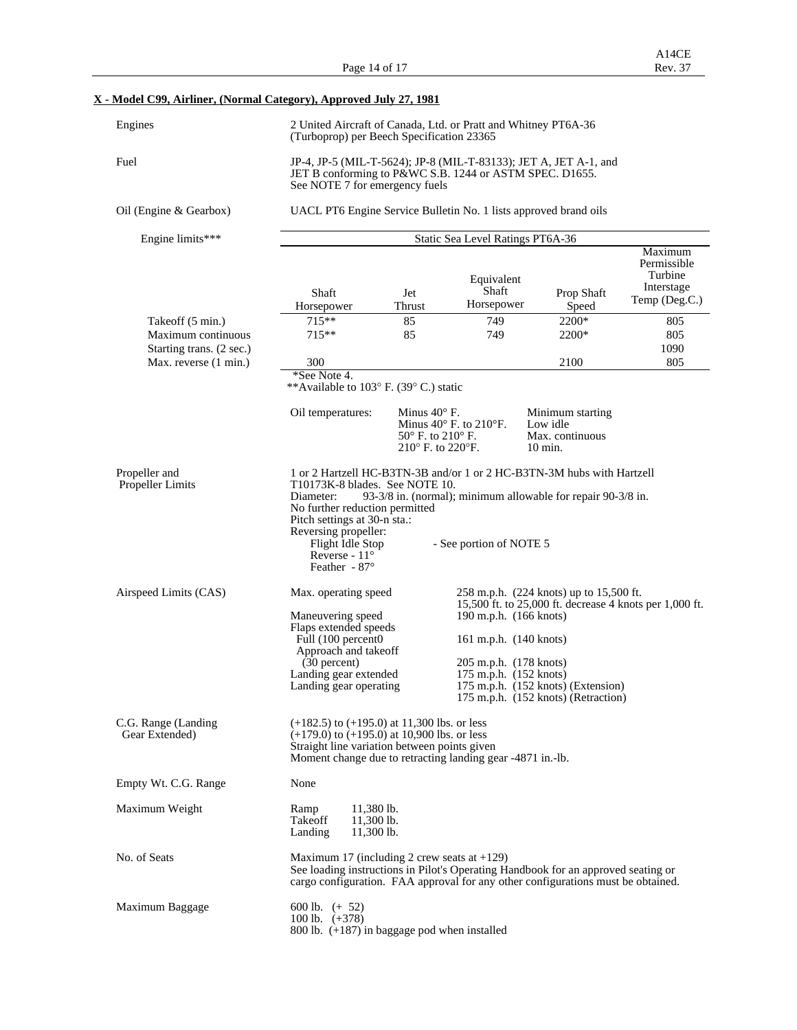Page 14 of 17

### **X - Model C99, Airliner, (Normal Category), Approved July 27, 1981**

| Engines                                        | 2 United Aircraft of Canada, Ltd. or Pratt and Whitney PT6A-36<br>(Turboprop) per Beech Specification 23365                                                                                                                                                                                |                                                                                 |                                                               |                                                                                                                                                                       |                                                                  |  |  |  |  |
|------------------------------------------------|--------------------------------------------------------------------------------------------------------------------------------------------------------------------------------------------------------------------------------------------------------------------------------------------|---------------------------------------------------------------------------------|---------------------------------------------------------------|-----------------------------------------------------------------------------------------------------------------------------------------------------------------------|------------------------------------------------------------------|--|--|--|--|
| Fuel                                           | JP-4, JP-5 (MIL-T-5624); JP-8 (MIL-T-83133); JET A, JET A-1, and<br>JET B conforming to P&WC S.B. 1244 or ASTM SPEC. D1655.<br>See NOTE 7 for emergency fuels                                                                                                                              |                                                                                 |                                                               |                                                                                                                                                                       |                                                                  |  |  |  |  |
| Oil (Engine & Gearbox)                         | UACL PT6 Engine Service Bulletin No. 1 lists approved brand oils                                                                                                                                                                                                                           |                                                                                 |                                                               |                                                                                                                                                                       |                                                                  |  |  |  |  |
| Engine limits***                               | Static Sea Level Ratings PT6A-36                                                                                                                                                                                                                                                           |                                                                                 |                                                               |                                                                                                                                                                       |                                                                  |  |  |  |  |
|                                                | Shaft<br>Horsepower                                                                                                                                                                                                                                                                        | Jet<br>Thrust                                                                   | Equivalent<br>Shaft<br>Horsepower                             | Prop Shaft<br>Speed                                                                                                                                                   | Maximum<br>Permissible<br>Turbine<br>Interstage<br>Temp (Deg.C.) |  |  |  |  |
| Takeoff (5 min.)                               | $715**$                                                                                                                                                                                                                                                                                    | 85                                                                              | 749                                                           | 2200*                                                                                                                                                                 | 805                                                              |  |  |  |  |
| Maximum continuous<br>Starting trans. (2 sec.) | $715**$                                                                                                                                                                                                                                                                                    | 85                                                                              | 749                                                           | 2200*                                                                                                                                                                 | 805<br>1090                                                      |  |  |  |  |
| Max. reverse (1 min.)                          | 300                                                                                                                                                                                                                                                                                        |                                                                                 |                                                               | 2100                                                                                                                                                                  | 805                                                              |  |  |  |  |
|                                                | *See Note 4.<br>**Available to 103° F. (39° C.) static                                                                                                                                                                                                                                     |                                                                                 |                                                               |                                                                                                                                                                       |                                                                  |  |  |  |  |
|                                                | Oil temperatures:                                                                                                                                                                                                                                                                          | Minus $40^\circ$ F.<br>$50^{\circ}$ F. to $210^{\circ}$ F.<br>210° F. to 220°F. | Minimum starting<br>Minus 40° F. to 210°F.<br>Max. continuous |                                                                                                                                                                       |                                                                  |  |  |  |  |
| Propeller and<br>Propeller Limits              | T10173K-8 blades. See NOTE 10.<br>Diameter:<br>No further reduction permitted<br>Pitch settings at 30-n sta.:<br>Reversing propeller:<br>Flight Idle Stop<br>Reverse - $11^{\circ}$<br>Feather - 87°                                                                                       |                                                                                 | - See portion of NOTE 5                                       | 1 or 2 Hartzell HC-B3TN-3B and/or 1 or 2 HC-B3TN-3M hubs with Hartzell<br>93-3/8 in. (normal); minimum allowable for repair 90-3/8 in.                                |                                                                  |  |  |  |  |
| Airspeed Limits (CAS)                          | 258 m.p.h. (224 knots) up to 15,500 ft.<br>Max. operating speed<br>15,500 ft. to 25,000 ft. decrease 4 knots per 1,000 ft.<br>Maneuvering speed<br>190 m.p.h. (166 knots)<br>Flaps extended speeds<br>Full (100 percent0<br>161 m.p.h. (140 knots)<br>Approach and takeoff<br>(30 percent) |                                                                                 |                                                               |                                                                                                                                                                       |                                                                  |  |  |  |  |
|                                                | Landing gear extended<br>Landing gear operating                                                                                                                                                                                                                                            |                                                                                 |                                                               | 205 m.p.h. (178 knots)<br>175 m.p.h. (152 knots)<br>175 m.p.h. (152 knots) (Extension)<br>175 m.p.h. (152 knots) (Retraction)                                         |                                                                  |  |  |  |  |
| C.G. Range (Landing<br>Gear Extended)          | $(+182.5)$ to $(+195.0)$ at 11,300 lbs. or less<br>$(+179.0)$ to $(+195.0)$ at 10,900 lbs. or less<br>Straight line variation between points given<br>Moment change due to retracting landing gear -4871 in.-1b.                                                                           |                                                                                 |                                                               |                                                                                                                                                                       |                                                                  |  |  |  |  |
| Empty Wt. C.G. Range                           | None                                                                                                                                                                                                                                                                                       |                                                                                 |                                                               |                                                                                                                                                                       |                                                                  |  |  |  |  |
| Maximum Weight                                 | Ramp<br>$11,380$ lb.<br>Takeoff<br>11,300 lb.<br>Landing<br>$11,300$ lb.                                                                                                                                                                                                                   |                                                                                 |                                                               |                                                                                                                                                                       |                                                                  |  |  |  |  |
| No. of Seats                                   | Maximum 17 (including 2 crew seats at $+129$ )                                                                                                                                                                                                                                             |                                                                                 |                                                               | See loading instructions in Pilot's Operating Handbook for an approved seating or<br>cargo configuration. FAA approval for any other configurations must be obtained. |                                                                  |  |  |  |  |

 $100 \text{ lb. } (+378)$ 

Maximum Baggage

800 lb. (+187) in baggage pod when installed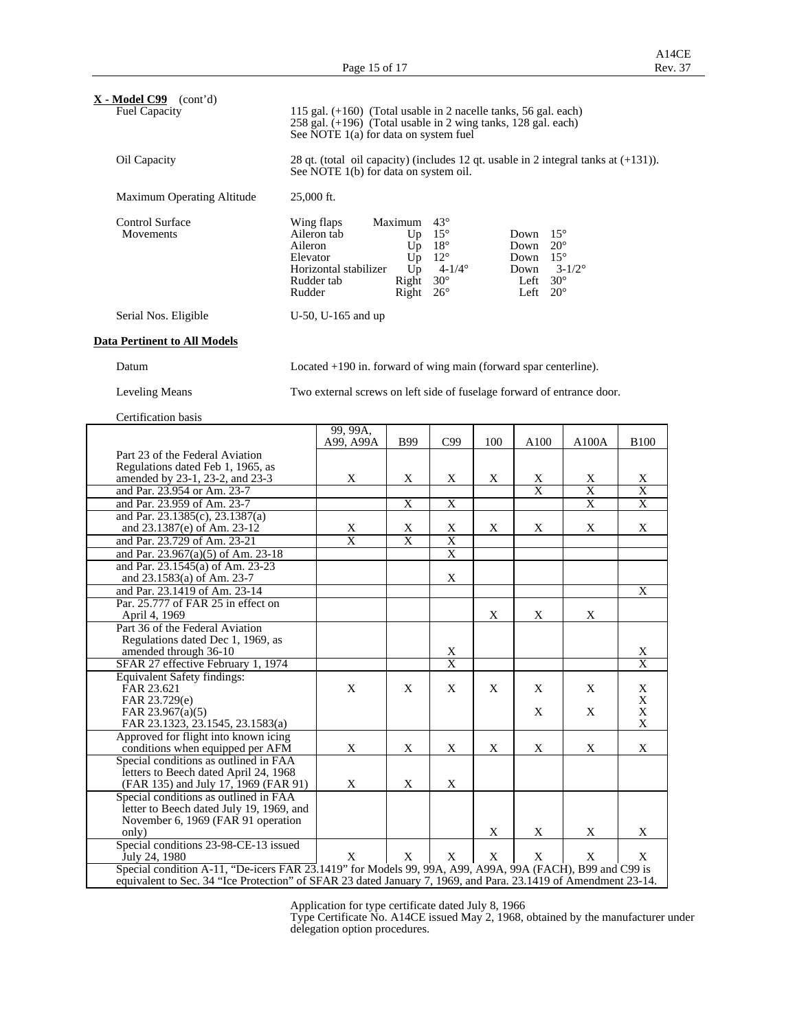A14CE<br>Rev. 37

| $X - Model C99$ (cont'd)<br><b>Fuel Capacity</b>                                                               | 115 gal. $(+160)$ (Total usable in 2 nacelle tanks, 56 gal. each)<br>258 gal. (+196) (Total usable in 2 wing tanks, 128 gal. each)<br>See NOTE 1(a) for data on system fuel                                                                                                                                                                                                                                             |                                                                        |                       |                                   |     |                              |                                           |                                                  |
|----------------------------------------------------------------------------------------------------------------|-------------------------------------------------------------------------------------------------------------------------------------------------------------------------------------------------------------------------------------------------------------------------------------------------------------------------------------------------------------------------------------------------------------------------|------------------------------------------------------------------------|-----------------------|-----------------------------------|-----|------------------------------|-------------------------------------------|--------------------------------------------------|
| Oil Capacity                                                                                                   | 28 qt. (total oil capacity) (includes 12 qt. usable in 2 integral tanks at $(+131)$ ).<br>See NOTE 1(b) for data on system oil.                                                                                                                                                                                                                                                                                         |                                                                        |                       |                                   |     |                              |                                           |                                                  |
| Maximum Operating Altitude                                                                                     | 25,000 ft.                                                                                                                                                                                                                                                                                                                                                                                                              |                                                                        |                       |                                   |     |                              |                                           |                                                  |
| Control Surface<br>Movements                                                                                   | $43^\circ$<br>Wing flaps<br>Maximum<br>$15^{\circ}$<br>$15^{\circ}$<br>Aileron tab<br>Up<br>Down<br>Aileron<br>$18^{\circ}$<br>$20^{\circ}$<br>$U_{p}$<br>Down<br>$12^{\circ}$<br>Elevator<br>$15^{\circ}$<br>Up<br>Down<br>$4 - 1/4^{\circ}$<br>Horizontal stabilizer<br>Up<br>Down<br>$3 - 1/2^{\circ}$<br>Rudder tab<br>$30^\circ$<br>Left<br>$30^{\circ}$<br>Right<br>Left $20^\circ$<br>Rudder<br>Right $26^\circ$ |                                                                        |                       |                                   |     |                              |                                           |                                                  |
| Serial Nos. Eligible                                                                                           |                                                                                                                                                                                                                                                                                                                                                                                                                         | U-50, U-165 and up                                                     |                       |                                   |     |                              |                                           |                                                  |
| <b>Data Pertinent to All Models</b>                                                                            |                                                                                                                                                                                                                                                                                                                                                                                                                         |                                                                        |                       |                                   |     |                              |                                           |                                                  |
| Datum                                                                                                          |                                                                                                                                                                                                                                                                                                                                                                                                                         | Located $+190$ in. forward of wing main (forward spar centerline).     |                       |                                   |     |                              |                                           |                                                  |
| <b>Leveling Means</b>                                                                                          |                                                                                                                                                                                                                                                                                                                                                                                                                         | Two external screws on left side of fuselage forward of entrance door. |                       |                                   |     |                              |                                           |                                                  |
| Certification basis                                                                                            |                                                                                                                                                                                                                                                                                                                                                                                                                         |                                                                        |                       |                                   |     |                              |                                           |                                                  |
|                                                                                                                |                                                                                                                                                                                                                                                                                                                                                                                                                         | 99, 99A.<br>A99, A99A                                                  | <b>B99</b>            | C99                               | 100 | A100                         | A100A                                     | <b>B100</b>                                      |
| Part 23 of the Federal Aviation                                                                                |                                                                                                                                                                                                                                                                                                                                                                                                                         |                                                                        |                       |                                   |     |                              |                                           |                                                  |
| Regulations dated Feb 1, 1965, as                                                                              |                                                                                                                                                                                                                                                                                                                                                                                                                         |                                                                        |                       |                                   |     |                              |                                           |                                                  |
| amended by 23-1, 23-2, and 23-3                                                                                |                                                                                                                                                                                                                                                                                                                                                                                                                         | Χ                                                                      | Χ                     | X                                 | X   | X<br>$\overline{\mathbf{x}}$ | X                                         | X                                                |
| and Par. 23.954 or Am. 23-7<br>and Par. 23.959 of Am. 23-7                                                     |                                                                                                                                                                                                                                                                                                                                                                                                                         |                                                                        | $\overline{\text{X}}$ | $\overline{\text{X}}$             |     |                              | $\overline{\mathrm{X}}$<br>$\overline{X}$ | $\overline{\mathrm{X}}$<br>$\overline{\text{X}}$ |
| and Par. 23.1385(c), 23.1387(a)                                                                                |                                                                                                                                                                                                                                                                                                                                                                                                                         |                                                                        |                       |                                   |     |                              |                                           |                                                  |
| and 23.1387(e) of Am. 23-12                                                                                    |                                                                                                                                                                                                                                                                                                                                                                                                                         | X                                                                      | X                     | Χ                                 | Χ   | X                            | X                                         | X                                                |
| and Par. 23.729 of Am. 23-21                                                                                   |                                                                                                                                                                                                                                                                                                                                                                                                                         | $\overline{\text{X}}$                                                  | X                     | X                                 |     |                              |                                           |                                                  |
| and Par. 23.967(a)(5) of Am. 23-18                                                                             |                                                                                                                                                                                                                                                                                                                                                                                                                         |                                                                        |                       | $\overline{X}$                    |     |                              |                                           |                                                  |
| and Par. 23.1545(a) of Am. 23-23                                                                               |                                                                                                                                                                                                                                                                                                                                                                                                                         |                                                                        |                       |                                   |     |                              |                                           |                                                  |
| and 23.1583(a) of Am. 23-7                                                                                     |                                                                                                                                                                                                                                                                                                                                                                                                                         |                                                                        |                       | X                                 |     |                              |                                           | X                                                |
| and Par. 23.1419 of Am. 23-14<br>Par. 25.777 of FAR 25 in effect on                                            |                                                                                                                                                                                                                                                                                                                                                                                                                         |                                                                        |                       |                                   |     |                              |                                           |                                                  |
| April 4, 1969                                                                                                  |                                                                                                                                                                                                                                                                                                                                                                                                                         |                                                                        |                       |                                   | X   | X                            | X                                         |                                                  |
| Part 36 of the Federal Aviation                                                                                |                                                                                                                                                                                                                                                                                                                                                                                                                         |                                                                        |                       |                                   |     |                              |                                           |                                                  |
| Regulations dated Dec 1, 1969, as                                                                              |                                                                                                                                                                                                                                                                                                                                                                                                                         |                                                                        |                       |                                   |     |                              |                                           |                                                  |
| amended through 36-10<br>SFAR 27 effective February 1, 1974                                                    |                                                                                                                                                                                                                                                                                                                                                                                                                         |                                                                        |                       | <u>X</u><br>$\overline{\text{X}}$ |     |                              |                                           | <u>X</u><br>$\overline{\text{X}}$                |
| <b>Equivalent Safety findings:</b>                                                                             |                                                                                                                                                                                                                                                                                                                                                                                                                         |                                                                        |                       |                                   |     |                              |                                           |                                                  |
| FAR 23.621                                                                                                     |                                                                                                                                                                                                                                                                                                                                                                                                                         | X                                                                      | X                     | X                                 | X   | X                            | X                                         | X                                                |
| FAR 23.729(e)                                                                                                  |                                                                                                                                                                                                                                                                                                                                                                                                                         |                                                                        |                       |                                   |     |                              |                                           | X                                                |
| FAR 23.967(a)(5)<br>FAR 23.1323, 23.1545, 23.1583(a)                                                           |                                                                                                                                                                                                                                                                                                                                                                                                                         |                                                                        |                       |                                   |     | X                            | X                                         | X<br>$\mathbf X$                                 |
| Approved for flight into known icing                                                                           |                                                                                                                                                                                                                                                                                                                                                                                                                         |                                                                        |                       |                                   |     |                              |                                           |                                                  |
| conditions when equipped per AFM                                                                               |                                                                                                                                                                                                                                                                                                                                                                                                                         | X                                                                      | X                     | X                                 | X   | X                            | X                                         | X                                                |
| Special conditions as outlined in FAA                                                                          |                                                                                                                                                                                                                                                                                                                                                                                                                         |                                                                        |                       |                                   |     |                              |                                           |                                                  |
| letters to Beech dated April 24, 1968<br>(FAR 135) and July 17, 1969 (FAR 91)                                  |                                                                                                                                                                                                                                                                                                                                                                                                                         | X                                                                      | X                     | X                                 |     |                              |                                           |                                                  |
| Special conditions as outlined in FAA                                                                          |                                                                                                                                                                                                                                                                                                                                                                                                                         |                                                                        |                       |                                   |     |                              |                                           |                                                  |
| letter to Beech dated July 19, 1969, and                                                                       |                                                                                                                                                                                                                                                                                                                                                                                                                         |                                                                        |                       |                                   |     |                              |                                           |                                                  |
| November 6, 1969 (FAR 91 operation                                                                             |                                                                                                                                                                                                                                                                                                                                                                                                                         |                                                                        |                       |                                   |     |                              |                                           |                                                  |
| only)<br>Special conditions 23-98-CE-13 issued                                                                 |                                                                                                                                                                                                                                                                                                                                                                                                                         |                                                                        |                       |                                   | X   | X                            | X                                         | X                                                |
| July 24, 1980                                                                                                  |                                                                                                                                                                                                                                                                                                                                                                                                                         | X                                                                      | $\mathbf X$           | X                                 | X   | X                            | X                                         | X                                                |
| Special condition A-11, "De-icers FAR 23.1419" for Models 99, 99A, A99, A99A, 99A (FACH), B99 and C99 is       |                                                                                                                                                                                                                                                                                                                                                                                                                         |                                                                        |                       |                                   |     |                              |                                           |                                                  |
| equivalent to Sec. 34 "Ice Protection" of SFAR 23 dated January 7, 1969, and Para. 23.1419 of Amendment 23-14. |                                                                                                                                                                                                                                                                                                                                                                                                                         |                                                                        |                       |                                   |     |                              |                                           |                                                  |

Application for type certificate dated July 8, 1966

 Type Certificate No. A14CE issued May 2, 1968, obtained by the manufacturer under delegation option procedures.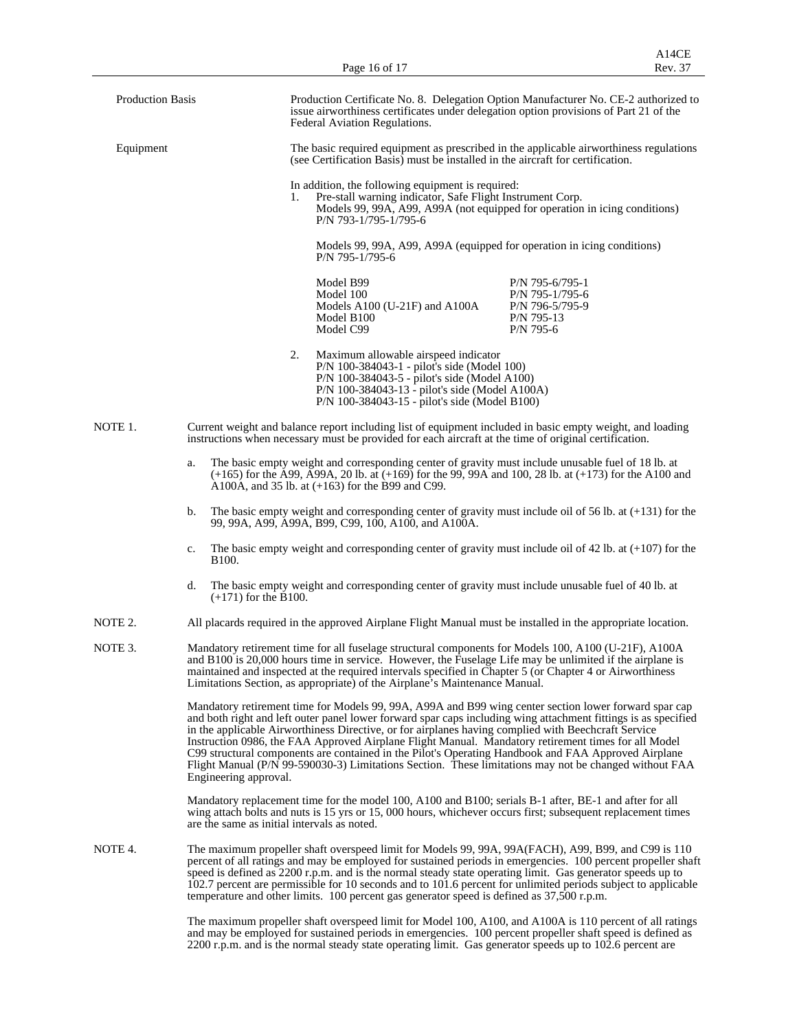|                         |    |                                             |    | Page 16 of 17                                                                                                                                                                                                                                                                                                                                                                                                                                                                                                                                                                                                                                         | A14CE<br>Rev. 37                                                                 |
|-------------------------|----|---------------------------------------------|----|-------------------------------------------------------------------------------------------------------------------------------------------------------------------------------------------------------------------------------------------------------------------------------------------------------------------------------------------------------------------------------------------------------------------------------------------------------------------------------------------------------------------------------------------------------------------------------------------------------------------------------------------------------|----------------------------------------------------------------------------------|
| <b>Production Basis</b> |    |                                             |    | Production Certificate No. 8. Delegation Option Manufacturer No. CE-2 authorized to<br>issue airworthiness certificates under delegation option provisions of Part 21 of the<br>Federal Aviation Regulations.                                                                                                                                                                                                                                                                                                                                                                                                                                         |                                                                                  |
| Equipment               |    |                                             |    | The basic required equipment as prescribed in the applicable airworthiness regulations<br>(see Certification Basis) must be installed in the aircraft for certification.                                                                                                                                                                                                                                                                                                                                                                                                                                                                              |                                                                                  |
|                         |    |                                             | 1. | In addition, the following equipment is required:<br>Pre-stall warning indicator, Safe Flight Instrument Corp.<br>Models 99, 99A, A99, A99A (not equipped for operation in icing conditions)<br>P/N 793-1/795-1/795-6                                                                                                                                                                                                                                                                                                                                                                                                                                 |                                                                                  |
|                         |    |                                             |    | Models 99, 99A, A99, A99A (equipped for operation in icing conditions)<br>P/N 795-1/795-6                                                                                                                                                                                                                                                                                                                                                                                                                                                                                                                                                             |                                                                                  |
|                         |    |                                             |    | Model B99<br>Model 100<br>Models A100 (U-21F) and A100A<br>Model B100<br>Model C99                                                                                                                                                                                                                                                                                                                                                                                                                                                                                                                                                                    | P/N 795-6/795-1<br>P/N 795-1/795-6<br>P/N 796-5/795-9<br>P/N 795-13<br>P/N 795-6 |
|                         |    | 2.                                          |    | Maximum allowable airspeed indicator<br>P/N 100-384043-1 - pilot's side (Model 100)<br>P/N 100-384043-5 - pilot's side (Model A100)<br>P/N 100-384043-13 - pilot's side (Model A100A)<br>P/N 100-384043-15 - pilot's side (Model B100)                                                                                                                                                                                                                                                                                                                                                                                                                |                                                                                  |
| NOTE 1.                 |    |                                             |    | Current weight and balance report including list of equipment included in basic empty weight, and loading<br>instructions when necessary must be provided for each aircraft at the time of original certification.                                                                                                                                                                                                                                                                                                                                                                                                                                    |                                                                                  |
|                         | a. |                                             |    | The basic empty weight and corresponding center of gravity must include unusable fuel of 18 lb. at<br>$(+165)$ for the A99, A99A, 20 lb. at $(+169)$ for the 99, 99A and 100, 28 lb. at $(+173)$ for the A100 and<br>A100A, and 35 lb. at $(+163)$ for the B99 and C99.                                                                                                                                                                                                                                                                                                                                                                               |                                                                                  |
|                         | b. |                                             |    | The basic empty weight and corresponding center of gravity must include oil of 56 lb. at $(+131)$ for the<br>99, 99A, A99, A99A, B99, C99, 100, A100, and A100A.                                                                                                                                                                                                                                                                                                                                                                                                                                                                                      |                                                                                  |
|                         | c. | B100.                                       |    | The basic empty weight and corresponding center of gravity must include oil of 42 lb. at $(+107)$ for the                                                                                                                                                                                                                                                                                                                                                                                                                                                                                                                                             |                                                                                  |
|                         | d. | $(+171)$ for the B100.                      |    | The basic empty weight and corresponding center of gravity must include unusable fuel of 40 lb. at                                                                                                                                                                                                                                                                                                                                                                                                                                                                                                                                                    |                                                                                  |
| NOTE 2.                 |    |                                             |    | All placards required in the approved Airplane Flight Manual must be installed in the appropriate location.                                                                                                                                                                                                                                                                                                                                                                                                                                                                                                                                           |                                                                                  |
| NOTE 3.                 |    |                                             |    | Mandatory retirement time for all fuselage structural components for Models 100, A100 (U-21F), A100A<br>and B100 is 20,000 hours time in service. However, the Fuselage Life may be unlimited if the airplane is<br>maintained and inspected at the required intervals specified in Chapter 5 (or Chapter 4 or Airworthiness<br>Limitations Section, as appropriate) of the Airplane's Maintenance Manual.                                                                                                                                                                                                                                            |                                                                                  |
|                         |    | Engineering approval.                       |    | Mandatory retirement time for Models 99, 99A, A99A and B99 wing center section lower forward spar cap<br>and both right and left outer panel lower forward spar caps including wing attachment fittings is as specified<br>in the applicable Airworthiness Directive, or for airplanes having complied with Beechcraft Service<br>Instruction 0986, the FAA Approved Airplane Flight Manual. Mandatory retirement times for all Model<br>C99 structural components are contained in the Pilot's Operating Handbook and FAA Approved Airplane<br>Flight Manual (P/N 99-590030-3) Limitations Section. These limitations may not be changed without FAA |                                                                                  |
|                         |    | are the same as initial intervals as noted. |    | Mandatory replacement time for the model 100, A100 and B100; serials B-1 after, BE-1 and after for all<br>wing attach bolts and nuts is 15 yrs or 15,000 hours, whichever occurs first; subsequent replacement times                                                                                                                                                                                                                                                                                                                                                                                                                                  |                                                                                  |
| NOTE 4.                 |    |                                             |    | The maximum propeller shaft overspeed limit for Models 99, 99A, 99A(FACH), A99, B99, and C99 is 110<br>percent of all ratings and may be employed for sustained periods in emergencies. 100 percent propeller shaft<br>speed is defined as 2200 r.p.m. and is the normal steady state operating limit. Gas generator speeds up to<br>102.7 percent are permissible for 10 seconds and to 101.6 percent for unlimited periods subject to applicable<br>temperature and other limits. 100 percent gas generator speed is defined as 37,500 r.p.m.                                                                                                       |                                                                                  |
|                         |    |                                             |    | The maximum propeller shaft overspeed limit for Model 100, A100, and A100A is 110 percent of all ratings<br>and may be employed for sustained periods in emergencies. 100 percent propeller shaft speed is defined as                                                                                                                                                                                                                                                                                                                                                                                                                                 |                                                                                  |

2200 r.p.m. and is the normal steady state operating limit. Gas generator speeds up to 102.6 percent are